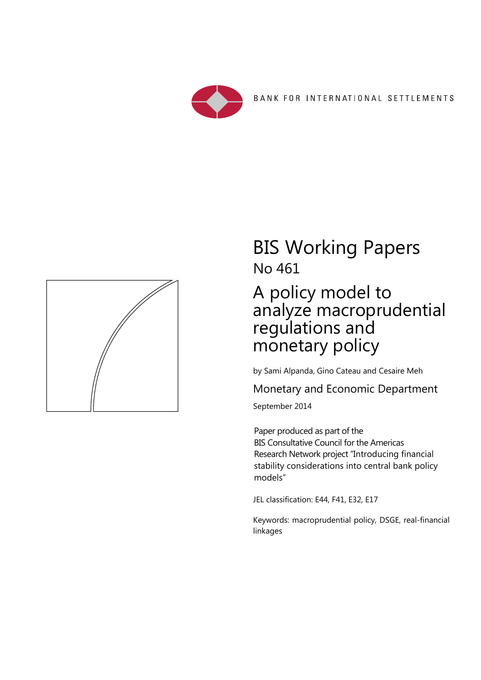



# BIS Working Papers No 461

# A policy model to analyze macroprudential regulations and monetary policy

by Sami Alpanda, Gino Cateau and Cesaire Meh

Monetary and Economic Department

September 2014

Paper produced as part of the BIS Consultative Council for the Americas Research Network project "Introducing financial stability considerations into central bank policy models"

JEL classification: E44, F41, E32, E17

Keywords: macroprudential policy, DSGE, real-financial linkages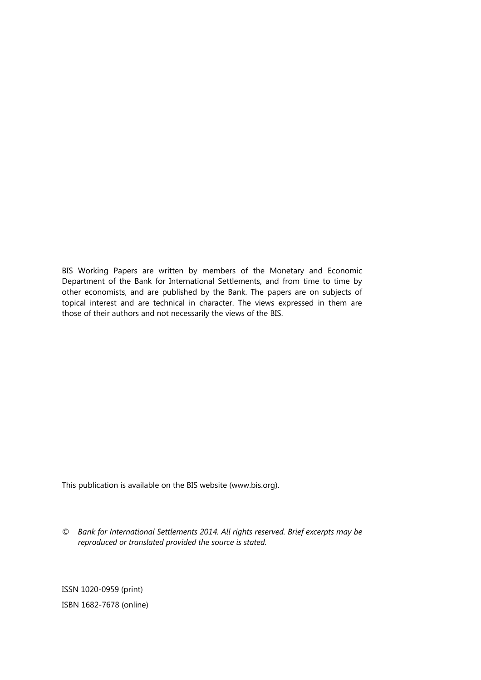BIS Working Papers are written by members of the Monetary and Economic Department of the Bank for International Settlements, and from time to time by other economists, and are published by the Bank. The papers are on subjects of topical interest and are technical in character. The views expressed in them are those of their authors and not necessarily the views of the BIS.

This publication is available on the BIS website (www.bis.org).

*© Bank for International Settlements 2014. All rights reserved. Brief excerpts may be reproduced or translated provided the source is stated.* 

ISSN 1020-0959 (print) ISBN 1682-7678 (online)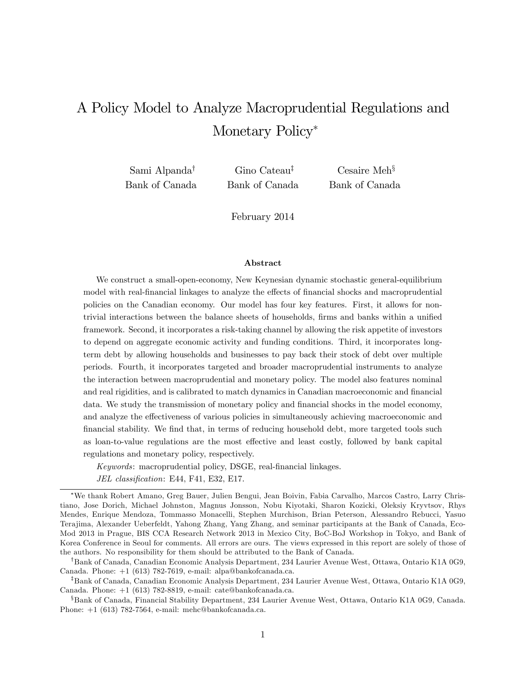## A Policy Model to Analyze Macroprudential Regulations and Monetary Policy<sup>\*</sup>

Sami Alpanda<sup>†</sup> Bank of Canada

Gino Cateau<sup> $\ddag$ </sup> Bank of Canada

 $Cesaire$  Meh<sup>§</sup> Bank of Canada

February 2014

#### Abstract

We construct a small-open-economy, New Keynesian dynamic stochastic general-equilibrium model with real-financial linkages to analyze the effects of financial shocks and macroprudential policies on the Canadian economy. Our model has four key features. First, it allows for nontrivial interactions between the balance sheets of households, firms and banks within a unified framework. Second, it incorporates a risk-taking channel by allowing the risk appetite of investors to depend on aggregate economic activity and funding conditions. Third, it incorporates longterm debt by allowing households and businesses to pay back their stock of debt over multiple periods. Fourth, it incorporates targeted and broader macroprudential instruments to analyze the interaction between macroprudential and monetary policy. The model also features nominal and real rigidities, and is calibrated to match dynamics in Canadian macroeconomic and financial data. We study the transmission of monetary policy and financial shocks in the model economy, and analyze the effectiveness of various policies in simultaneously achieving macroeconomic and financial stability. We find that, in terms of reducing household debt, more targeted tools such as loan-to-value regulations are the most effective and least costly, followed by bank capital regulations and monetary policy, respectively.

Keywords: macroprudential policy, DSGE, real-financial linkages.

JEL classification: E44, F41, E32, E17.

We thank Robert Amano, Greg Bauer, Julien Bengui, Jean Boivin, Fabia Carvalho, Marcos Castro, Larry Christiano, Jose Dorich, Michael Johnston, Magnus Jonsson, Nobu Kiyotaki, Sharon Kozicki, Oleksiy Kryvtsov, Rhys Mendes, Enrique Mendoza, Tommasso Monacelli, Stephen Murchison, Brian Peterson, Alessandro Rebucci, Yasuo Terajima, Alexander Ueberfeldt, Yahong Zhang, Yang Zhang, and seminar participants at the Bank of Canada, Eco-Mod 2013 in Prague, BIS CCA Research Network 2013 in Mexico City, BoC-BoJ Workshop in Tokyo, and Bank of Korea Conference in Seoul for comments. All errors are ours. The views expressed in this report are solely of those of the authors. No responsibility for them should be attributed to the Bank of Canada.

<sup>&</sup>lt;sup>†</sup>Bank of Canada, Canadian Economic Analysis Department, 234 Laurier Avenue West, Ottawa, Ontario K1A 0G9, Canada. Phone: +1 (613) 782-7619, e-mail: alpa@bankofcanada.ca.

<sup>&</sup>lt;sup>‡</sup>Bank of Canada, Canadian Economic Analysis Department, 234 Laurier Avenue West, Ottawa, Ontario K1A 0G9, Canada. Phone: +1 (613) 782-8819, e-mail: cate@bankofcanada.ca.

<sup>x</sup>Bank of Canada, Financial Stability Department, 234 Laurier Avenue West, Ottawa, Ontario K1A 0G9, Canada. Phone: +1 (613) 782-7564, e-mail: mehc@bankofcanada.ca.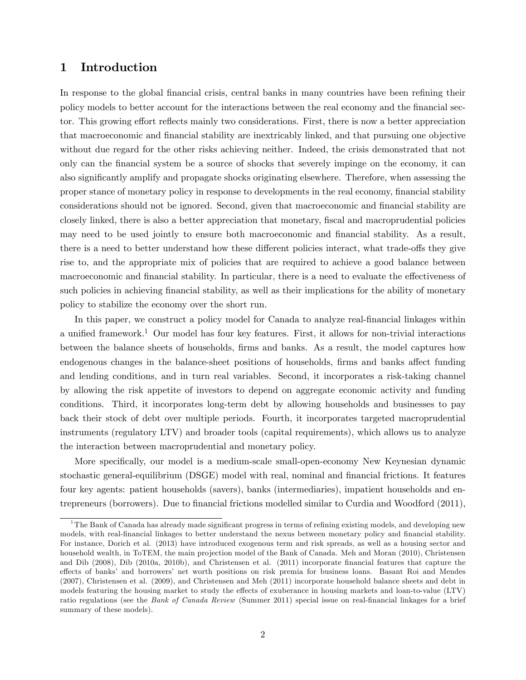## 1 Introduction

In response to the global financial crisis, central banks in many countries have been refining their policy models to better account for the interactions between the real economy and the financial sector. This growing effort reflects mainly two considerations. First, there is now a better appreciation that macroeconomic and Önancial stability are inextricably linked, and that pursuing one objective without due regard for the other risks achieving neither. Indeed, the crisis demonstrated that not only can the Önancial system be a source of shocks that severely impinge on the economy, it can also significantly amplify and propagate shocks originating elsewhere. Therefore, when assessing the proper stance of monetary policy in response to developments in the real economy, financial stability considerations should not be ignored. Second, given that macroeconomic and financial stability are closely linked, there is also a better appreciation that monetary, fiscal and macroprudential policies may need to be used jointly to ensure both macroeconomic and financial stability. As a result, there is a need to better understand how these different policies interact, what trade-offs they give rise to, and the appropriate mix of policies that are required to achieve a good balance between macroeconomic and financial stability. In particular, there is a need to evaluate the effectiveness of such policies in achieving financial stability, as well as their implications for the ability of monetary policy to stabilize the economy over the short run.

In this paper, we construct a policy model for Canada to analyze real-financial linkages within a unified framework.<sup>1</sup> Our model has four key features. First, it allows for non-trivial interactions between the balance sheets of households, Örms and banks. As a result, the model captures how endogenous changes in the balance-sheet positions of households, firms and banks affect funding and lending conditions, and in turn real variables. Second, it incorporates a risk-taking channel by allowing the risk appetite of investors to depend on aggregate economic activity and funding conditions. Third, it incorporates long-term debt by allowing households and businesses to pay back their stock of debt over multiple periods. Fourth, it incorporates targeted macroprudential instruments (regulatory LTV) and broader tools (capital requirements), which allows us to analyze the interaction between macroprudential and monetary policy.

More specifically, our model is a medium-scale small-open-economy New Keynesian dynamic stochastic general-equilibrium (DSGE) model with real, nominal and financial frictions. It features four key agents: patient households (savers), banks (intermediaries), impatient households and entrepreneurs (borrowers). Due to Önancial frictions modelled similar to Curdia and Woodford (2011),

 $1$ The Bank of Canada has already made significant progress in terms of refining existing models, and developing new models, with real-financial linkages to better understand the nexus between monetary policy and financial stability. For instance, Dorich et al. (2013) have introduced exogenous term and risk spreads, as well as a housing sector and household wealth, in ToTEM, the main projection model of the Bank of Canada. Meh and Moran (2010), Christensen and Dib (2008), Dib (2010a, 2010b), and Christensen et al. (2011) incorporate Önancial features that capture the effects of banks' and borrowers' net worth positions on risk premia for business loans. Basant Roi and Mendes (2007), Christensen et al. (2009), and Christensen and Meh (2011) incorporate household balance sheets and debt in models featuring the housing market to study the effects of exuberance in housing markets and loan-to-value (LTV) ratio regulations (see the Bank of Canada Review (Summer 2011) special issue on real-financial linkages for a brief summary of these models).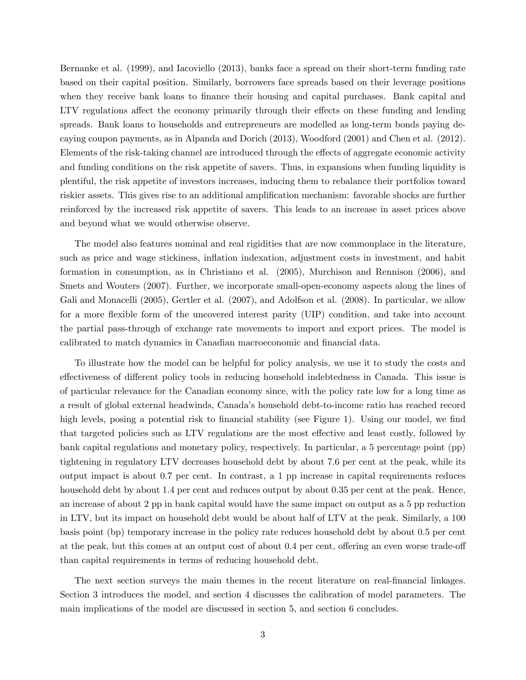Bernanke et al. (1999), and Iacoviello (2013), banks face a spread on their short-term funding rate based on their capital position. Similarly, borrowers face spreads based on their leverage positions when they receive bank loans to finance their housing and capital purchases. Bank capital and LTV regulations affect the economy primarily through their effects on these funding and lending spreads. Bank loans to households and entrepreneurs are modelled as long-term bonds paying decaying coupon payments, as in Alpanda and Dorich (2013), Woodford (2001) and Chen et al. (2012). Elements of the risk-taking channel are introduced through the effects of aggregate economic activity and funding conditions on the risk appetite of savers. Thus, in expansions when funding liquidity is plentiful, the risk appetite of investors increases, inducing them to rebalance their portfolios toward riskier assets. This gives rise to an additional amplification mechanism: favorable shocks are further reinforced by the increased risk appetite of savers. This leads to an increase in asset prices above and beyond what we would otherwise observe.

The model also features nominal and real rigidities that are now commonplace in the literature, such as price and wage stickiness, inflation indexation, adjustment costs in investment, and habit formation in consumption, as in Christiano et al. (2005), Murchison and Rennison (2006), and Smets and Wouters (2007). Further, we incorporate small-open-economy aspects along the lines of Gali and Monacelli (2005), Gertler et al. (2007), and Adolfson et al. (2008). In particular, we allow for a more flexible form of the uncovered interest parity (UIP) condition, and take into account the partial pass-through of exchange rate movements to import and export prices. The model is calibrated to match dynamics in Canadian macroeconomic and financial data.

To illustrate how the model can be helpful for policy analysis, we use it to study the costs and effectiveness of different policy tools in reducing household indebtedness in Canada. This issue is of particular relevance for the Canadian economy since, with the policy rate low for a long time as a result of global external headwinds, Canadaís household debt-to-income ratio has reached record high levels, posing a potential risk to financial stability (see Figure 1). Using our model, we find that targeted policies such as LTV regulations are the most effective and least costly, followed by bank capital regulations and monetary policy, respectively. In particular, a 5 percentage point (pp) tightening in regulatory LTV decreases household debt by about 7.6 per cent at the peak, while its output impact is about 0.7 per cent. In contrast, a 1 pp increase in capital requirements reduces household debt by about 1.4 per cent and reduces output by about 0.35 per cent at the peak. Hence, an increase of about 2 pp in bank capital would have the same impact on output as a 5 pp reduction in LTV, but its impact on household debt would be about half of LTV at the peak. Similarly, a 100 basis point (bp) temporary increase in the policy rate reduces household debt by about 0.5 per cent at the peak, but this comes at an output cost of about  $0.4$  per cent, offering an even worse trade-off than capital requirements in terms of reducing household debt.

The next section surveys the main themes in the recent literature on real-financial linkages. Section 3 introduces the model, and section 4 discusses the calibration of model parameters. The main implications of the model are discussed in section 5, and section 6 concludes.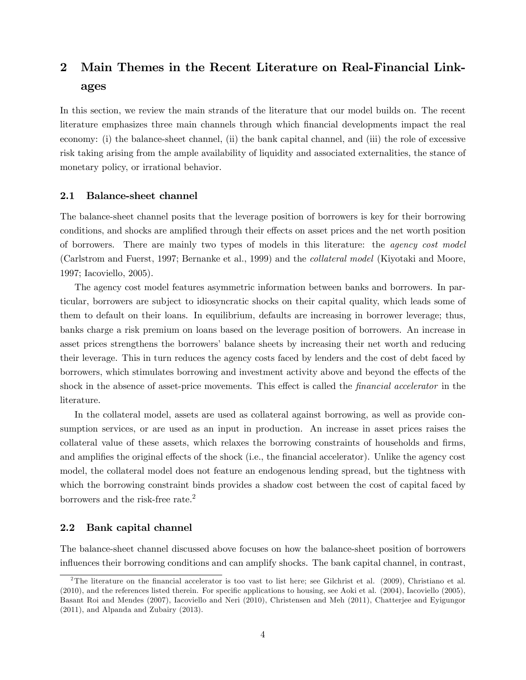## 2 Main Themes in the Recent Literature on Real-Financial Linkages

In this section, we review the main strands of the literature that our model builds on. The recent literature emphasizes three main channels through which Önancial developments impact the real economy: (i) the balance-sheet channel, (ii) the bank capital channel, and (iii) the role of excessive risk taking arising from the ample availability of liquidity and associated externalities, the stance of monetary policy, or irrational behavior.

#### 2.1 Balance-sheet channel

The balance-sheet channel posits that the leverage position of borrowers is key for their borrowing conditions, and shocks are amplified through their effects on asset prices and the net worth position of borrowers. There are mainly two types of models in this literature: the agency cost model (Carlstrom and Fuerst, 1997; Bernanke et al., 1999) and the collateral model (Kiyotaki and Moore, 1997; Iacoviello, 2005).

The agency cost model features asymmetric information between banks and borrowers. In particular, borrowers are subject to idiosyncratic shocks on their capital quality, which leads some of them to default on their loans. In equilibrium, defaults are increasing in borrower leverage; thus, banks charge a risk premium on loans based on the leverage position of borrowers. An increase in asset prices strengthens the borrowers' balance sheets by increasing their net worth and reducing their leverage. This in turn reduces the agency costs faced by lenders and the cost of debt faced by borrowers, which stimulates borrowing and investment activity above and beyond the effects of the shock in the absence of asset-price movements. This effect is called the *financial accelerator* in the literature.

In the collateral model, assets are used as collateral against borrowing, as well as provide consumption services, or are used as an input in production. An increase in asset prices raises the collateral value of these assets, which relaxes the borrowing constraints of households and firms, and amplifies the original effects of the shock (i.e., the financial accelerator). Unlike the agency cost model, the collateral model does not feature an endogenous lending spread, but the tightness with which the borrowing constraint binds provides a shadow cost between the cost of capital faced by borrowers and the risk-free rate.<sup>2</sup>

#### 2.2 Bank capital channel

The balance-sheet channel discussed above focuses on how the balance-sheet position of borrowers influences their borrowing conditions and can amplify shocks. The bank capital channel, in contrast,

<sup>&</sup>lt;sup>2</sup>The literature on the financial accelerator is too vast to list here; see Gilchrist et al.  $(2009)$ , Christiano et al. (2010), and the references listed therein. For specific applications to housing, see Aoki et al. (2004), Iacoviello (2005), Basant Roi and Mendes (2007), Iacoviello and Neri (2010), Christensen and Meh (2011), Chatterjee and Eyigungor (2011), and Alpanda and Zubairy (2013).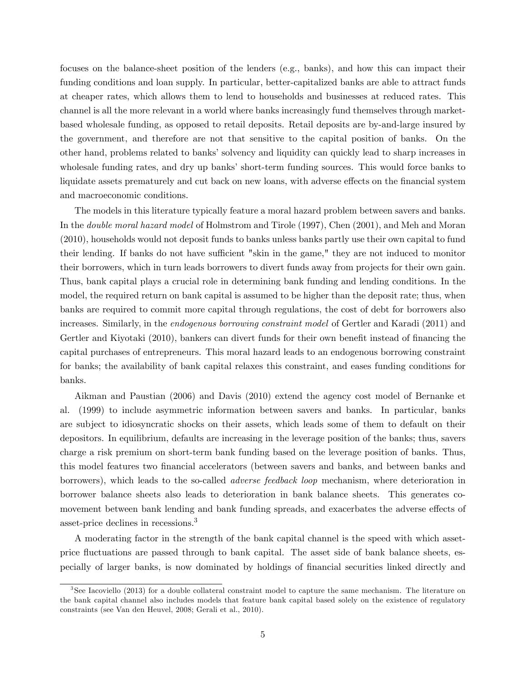focuses on the balance-sheet position of the lenders (e.g., banks), and how this can impact their funding conditions and loan supply. In particular, better-capitalized banks are able to attract funds at cheaper rates, which allows them to lend to households and businesses at reduced rates. This channel is all the more relevant in a world where banks increasingly fund themselves through marketbased wholesale funding, as opposed to retail deposits. Retail deposits are by-and-large insured by the government, and therefore are not that sensitive to the capital position of banks. On the other hand, problems related to banks' solvency and liquidity can quickly lead to sharp increases in wholesale funding rates, and dry up banks' short-term funding sources. This would force banks to liquidate assets prematurely and cut back on new loans, with adverse effects on the financial system and macroeconomic conditions.

The models in this literature typically feature a moral hazard problem between savers and banks. In the double moral hazard model of Holmstrom and Tirole (1997), Chen (2001), and Meh and Moran (2010), households would not deposit funds to banks unless banks partly use their own capital to fund their lending. If banks do not have sufficient "skin in the game," they are not induced to monitor their borrowers, which in turn leads borrowers to divert funds away from projects for their own gain. Thus, bank capital plays a crucial role in determining bank funding and lending conditions. In the model, the required return on bank capital is assumed to be higher than the deposit rate; thus, when banks are required to commit more capital through regulations, the cost of debt for borrowers also increases. Similarly, in the endogenous borrowing constraint model of Gertler and Karadi (2011) and Gertler and Kiyotaki (2010), bankers can divert funds for their own benefit instead of financing the capital purchases of entrepreneurs. This moral hazard leads to an endogenous borrowing constraint for banks; the availability of bank capital relaxes this constraint, and eases funding conditions for banks.

Aikman and Paustian (2006) and Davis (2010) extend the agency cost model of Bernanke et al. (1999) to include asymmetric information between savers and banks. In particular, banks are subject to idiosyncratic shocks on their assets, which leads some of them to default on their depositors. In equilibrium, defaults are increasing in the leverage position of the banks; thus, savers charge a risk premium on short-term bank funding based on the leverage position of banks. Thus, this model features two Önancial accelerators (between savers and banks, and between banks and borrowers), which leads to the so-called adverse feedback loop mechanism, where deterioration in borrower balance sheets also leads to deterioration in bank balance sheets. This generates comovement between bank lending and bank funding spreads, and exacerbates the adverse effects of asset-price declines in recessions.<sup>3</sup>

A moderating factor in the strength of the bank capital channel is the speed with which assetprice áuctuations are passed through to bank capital. The asset side of bank balance sheets, especially of larger banks, is now dominated by holdings of financial securities linked directly and

<sup>3</sup> See Iacoviello (2013) for a double collateral constraint model to capture the same mechanism. The literature on the bank capital channel also includes models that feature bank capital based solely on the existence of regulatory constraints (see Van den Heuvel, 2008; Gerali et al., 2010).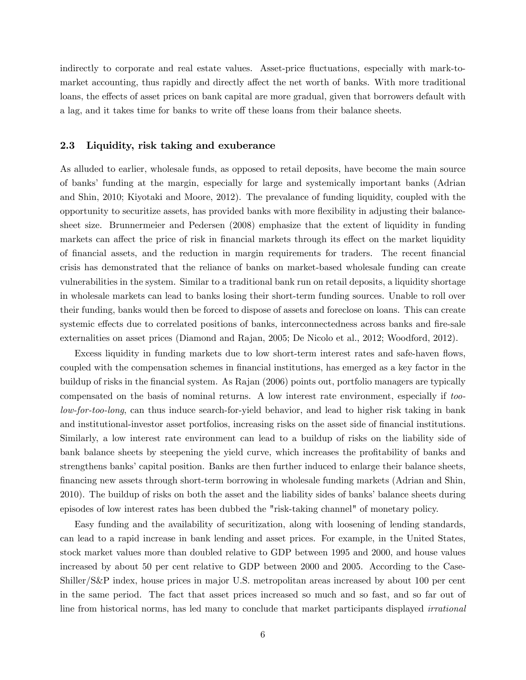indirectly to corporate and real estate values. Asset-price fluctuations, especially with mark-tomarket accounting, thus rapidly and directly affect the net worth of banks. With more traditional loans, the effects of asset prices on bank capital are more gradual, given that borrowers default with a lag, and it takes time for banks to write off these loans from their balance sheets.

#### 2.3 Liquidity, risk taking and exuberance

As alluded to earlier, wholesale funds, as opposed to retail deposits, have become the main source of banks' funding at the margin, especially for large and systemically important banks (Adrian and Shin, 2010; Kiyotaki and Moore, 2012). The prevalance of funding liquidity, coupled with the opportunity to securitize assets, has provided banks with more áexibility in adjusting their balancesheet size. Brunnermeier and Pedersen (2008) emphasize that the extent of liquidity in funding markets can affect the price of risk in financial markets through its effect on the market liquidity of Önancial assets, and the reduction in margin requirements for traders. The recent Önancial crisis has demonstrated that the reliance of banks on market-based wholesale funding can create vulnerabilities in the system. Similar to a traditional bank run on retail deposits, a liquidity shortage in wholesale markets can lead to banks losing their short-term funding sources. Unable to roll over their funding, banks would then be forced to dispose of assets and foreclose on loans. This can create systemic effects due to correlated positions of banks, interconnectedness across banks and fire-sale externalities on asset prices (Diamond and Rajan, 2005; De Nicolo et al., 2012; Woodford, 2012).

Excess liquidity in funding markets due to low short-term interest rates and safe-haven flows, coupled with the compensation schemes in financial institutions, has emerged as a key factor in the buildup of risks in the Önancial system. As Rajan (2006) points out, portfolio managers are typically compensated on the basis of nominal returns. A low interest rate environment, especially if toolow-for-too-long, can thus induce search-for-yield behavior, and lead to higher risk taking in bank and institutional-investor asset portfolios, increasing risks on the asset side of financial institutions. Similarly, a low interest rate environment can lead to a buildup of risks on the liability side of bank balance sheets by steepening the yield curve, which increases the profitability of banks and strengthens banks' capital position. Banks are then further induced to enlarge their balance sheets, Önancing new assets through short-term borrowing in wholesale funding markets (Adrian and Shin, 2010). The buildup of risks on both the asset and the liability sides of banks' balance sheets during episodes of low interest rates has been dubbed the "risk-taking channel" of monetary policy.

Easy funding and the availability of securitization, along with loosening of lending standards, can lead to a rapid increase in bank lending and asset prices. For example, in the United States, stock market values more than doubled relative to GDP between 1995 and 2000, and house values increased by about 50 per cent relative to GDP between 2000 and 2005. According to the Case-Shiller/S&P index, house prices in major U.S. metropolitan areas increased by about 100 per cent in the same period. The fact that asset prices increased so much and so fast, and so far out of line from historical norms, has led many to conclude that market participants displayed irrational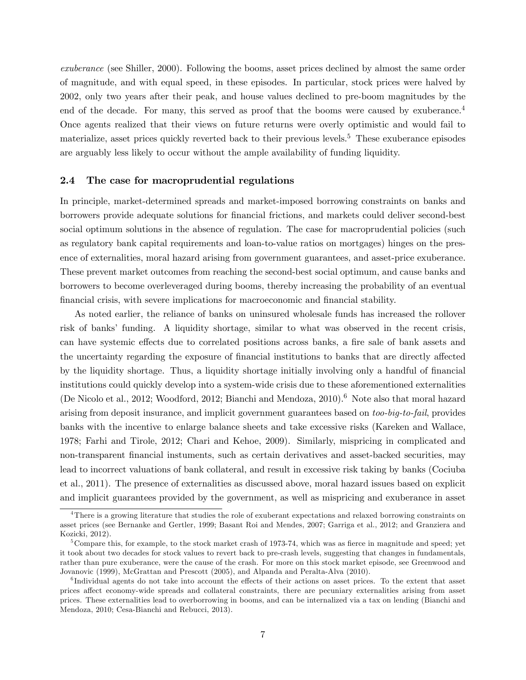exuberance (see Shiller, 2000). Following the booms, asset prices declined by almost the same order of magnitude, and with equal speed, in these episodes. In particular, stock prices were halved by 2002, only two years after their peak, and house values declined to pre-boom magnitudes by the end of the decade. For many, this served as proof that the booms were caused by exuberance.<sup>4</sup> Once agents realized that their views on future returns were overly optimistic and would fail to materialize, asset prices quickly reverted back to their previous levels.<sup>5</sup> These exuberance episodes are arguably less likely to occur without the ample availability of funding liquidity.

#### 2.4 The case for macroprudential regulations

In principle, market-determined spreads and market-imposed borrowing constraints on banks and borrowers provide adequate solutions for Önancial frictions, and markets could deliver second-best social optimum solutions in the absence of regulation. The case for macroprudential policies (such as regulatory bank capital requirements and loan-to-value ratios on mortgages) hinges on the presence of externalities, moral hazard arising from government guarantees, and asset-price exuberance. These prevent market outcomes from reaching the second-best social optimum, and cause banks and borrowers to become overleveraged during booms, thereby increasing the probability of an eventual Önancial crisis, with severe implications for macroeconomic and Önancial stability.

As noted earlier, the reliance of banks on uninsured wholesale funds has increased the rollover risk of banks' funding. A liquidity shortage, similar to what was observed in the recent crisis, can have systemic effects due to correlated positions across banks, a fire sale of bank assets and the uncertainty regarding the exposure of financial institutions to banks that are directly affected by the liquidity shortage. Thus, a liquidity shortage initially involving only a handful of financial institutions could quickly develop into a system-wide crisis due to these aforementioned externalities (De Nicolo et al., 2012; Woodford, 2012; Bianchi and Mendoza, 2010).<sup>6</sup> Note also that moral hazard arising from deposit insurance, and implicit government guarantees based on too-big-to-fail, provides banks with the incentive to enlarge balance sheets and take excessive risks (Kareken and Wallace, 1978; Farhi and Tirole, 2012; Chari and Kehoe, 2009). Similarly, mispricing in complicated and non-transparent financial instuments, such as certain derivatives and asset-backed securities, may lead to incorrect valuations of bank collateral, and result in excessive risk taking by banks (Cociuba et al., 2011). The presence of externalities as discussed above, moral hazard issues based on explicit and implicit guarantees provided by the government, as well as mispricing and exuberance in asset

<sup>&</sup>lt;sup>4</sup>There is a growing literature that studies the role of exuberant expectations and relaxed borrowing constraints on asset prices (see Bernanke and Gertler, 1999; Basant Roi and Mendes, 2007; Garriga et al., 2012; and Granziera and Kozicki, 2012).

<sup>&</sup>lt;sup>5</sup>Compare this, for example, to the stock market crash of 1973-74, which was as fierce in magnitude and speed; yet it took about two decades for stock values to revert back to pre-crash levels, suggesting that changes in fundamentals, rather than pure exuberance, were the cause of the crash. For more on this stock market episode, see Greenwood and Jovanovic (1999), McGrattan and Prescott (2005), and Alpanda and Peralta-Alva (2010).

 ${}^{6}$ Individual agents do not take into account the effects of their actions on asset prices. To the extent that asset prices affect economy-wide spreads and collateral constraints, there are pecuniary externalities arising from asset prices. These externalities lead to overborrowing in booms, and can be internalized via a tax on lending (Bianchi and Mendoza, 2010; Cesa-Bianchi and Rebucci, 2013).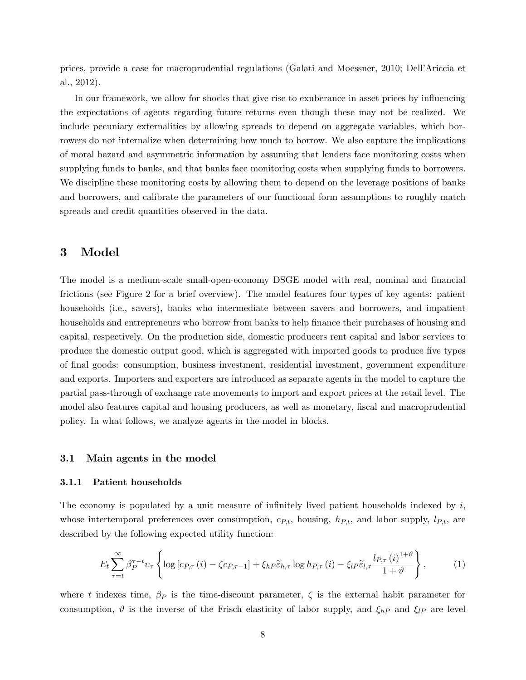prices, provide a case for macroprudential regulations (Galati and Moessner, 2010; DellíAriccia et al., 2012).

In our framework, we allow for shocks that give rise to exuberance in asset prices by influencing the expectations of agents regarding future returns even though these may not be realized. We include pecuniary externalities by allowing spreads to depend on aggregate variables, which borrowers do not internalize when determining how much to borrow. We also capture the implications of moral hazard and asymmetric information by assuming that lenders face monitoring costs when supplying funds to banks, and that banks face monitoring costs when supplying funds to borrowers. We discipline these monitoring costs by allowing them to depend on the leverage positions of banks and borrowers, and calibrate the parameters of our functional form assumptions to roughly match spreads and credit quantities observed in the data.

## 3 Model

The model is a medium-scale small-open-economy DSGE model with real, nominal and financial frictions (see Figure 2 for a brief overview). The model features four types of key agents: patient households (i.e., savers), banks who intermediate between savers and borrowers, and impatient households and entrepreneurs who borrow from banks to help finance their purchases of housing and capital, respectively. On the production side, domestic producers rent capital and labor services to produce the domestic output good, which is aggregated with imported goods to produce five types of Önal goods: consumption, business investment, residential investment, government expenditure and exports. Importers and exporters are introduced as separate agents in the model to capture the partial pass-through of exchange rate movements to import and export prices at the retail level. The model also features capital and housing producers, as well as monetary, fiscal and macroprudential policy. In what follows, we analyze agents in the model in blocks.

#### 3.1 Main agents in the model

#### 3.1.1 Patient households

The economy is populated by a unit measure of infinitely lived patient households indexed by  $i$ , whose intertemporal preferences over consumption,  $c_{Pt}$ , housing,  $h_{Pt}$ , and labor supply,  $l_{Pt}$ , are described by the following expected utility function:

$$
E_{t} \sum_{\tau=t}^{\infty} \beta_{P}^{\tau-t} v_{\tau} \left\{ \log \left[ c_{P,\tau} \left( i \right) - \zeta c_{P,\tau-1} \right] + \xi_{h} \widetilde{e}_{h,\tau} \log h_{P,\tau} \left( i \right) - \xi_{l} \widetilde{e}_{l,\tau} \frac{l_{P,\tau} \left( i \right)^{1+\vartheta}}{1+\vartheta} \right\},\right\} \tag{1}
$$

where t indexes time,  $\beta_P$  is the time-discount parameter,  $\zeta$  is the external habit parameter for consumption,  $\vartheta$  is the inverse of the Frisch elasticity of labor supply, and  $\xi_{hP}$  and  $\xi_{lP}$  are level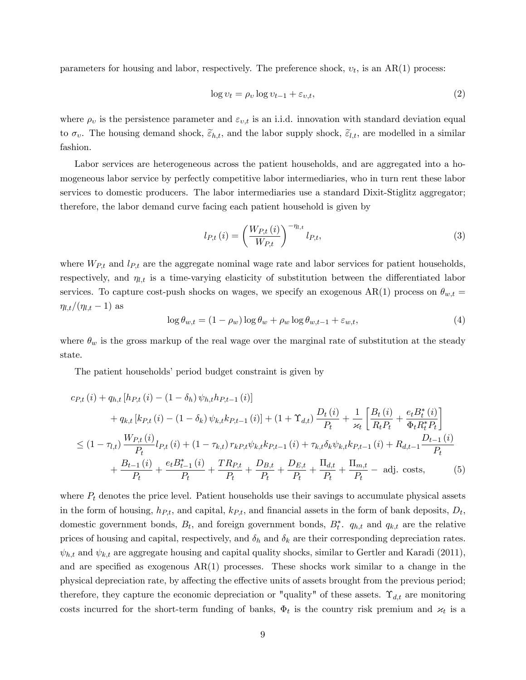parameters for housing and labor, respectively. The preference shock,  $v_t$ , is an AR(1) process:

$$
\log v_t = \rho_v \log v_{t-1} + \varepsilon_{v,t},\tag{2}
$$

where  $\rho_v$  is the persistence parameter and  $\varepsilon_{v,t}$  is an i.i.d. innovation with standard deviation equal to  $\sigma_v$ . The housing demand shock,  $\tilde{\varepsilon}_{h,t}$ , and the labor supply shock,  $\tilde{\varepsilon}_{l,t}$ , are modelled in a similar fashion.

Labor services are heterogeneous across the patient households, and are aggregated into a homogeneous labor service by perfectly competitive labor intermediaries, who in turn rent these labor services to domestic producers. The labor intermediaries use a standard Dixit-Stiglitz aggregator; therefore, the labor demand curve facing each patient household is given by

$$
l_{P,t}(i) = \left(\frac{W_{P,t}(i)}{W_{P,t}}\right)^{-\eta_{l,t}} l_{P,t},
$$
\n(3)

where  $W_{P,t}$  and  $l_{P,t}$  are the aggregate nominal wage rate and labor services for patient households, respectively, and  $\eta_{l,t}$  is a time-varying elasticity of substitution between the differentiated labor services. To capture cost-push shocks on wages, we specify an exogenous AR(1) process on  $\theta_{w,t}$  =  $\eta_{l,t}/(\eta_{l,t} - 1)$  as

$$
\log \theta_{w,t} = (1 - \rho_w) \log \theta_w + \rho_w \log \theta_{w,t-1} + \varepsilon_{w,t},\tag{4}
$$

where  $\theta_w$  is the gross markup of the real wage over the marginal rate of substitution at the steady state.

The patient households' period budget constraint is given by

$$
c_{P,t}(i) + q_{h,t}[h_{P,t}(i) - (1 - \delta_h) \psi_{h,t}h_{P,t-1}(i)]
$$
  
+ 
$$
q_{k,t}[k_{P,t}(i) - (1 - \delta_k) \psi_{k,t}k_{P,t-1}(i)] + (1 + \Upsilon_{d,t})\frac{D_t(i)}{P_t} + \frac{1}{\varkappa_t} \left[\frac{B_t(i)}{R_tP_t} + \frac{e_tB_t^*(i)}{\Phi_tR_t^*P_t}\right]
$$
  

$$
\leq (1 - \tau_{l,t})\frac{W_{P,t}(i)}{P_t}l_{P,t}(i) + (1 - \tau_{k,t})r_{k}P_{t}\psi_{k,t}k_{P,t-1}(i) + \tau_{k,t}\delta_k\psi_{k,t}k_{P,t-1}(i) + R_{d,t-1}\frac{D_{t-1}(i)}{P_t}
$$
  
+ 
$$
\frac{B_{t-1}(i)}{P_t} + \frac{e_tB_{t-1}^*(i)}{P_t} + \frac{TR_{P,t}}{P_t} + \frac{D_{B,t}}{P_t} + \frac{D_{E,t}}{P_t} + \frac{\Pi_{d,t}}{P_t} + \frac{\Pi_{m,t}}{P_t} - \text{adj. costs}, \tag{5}
$$

where  $P_t$  denotes the price level. Patient households use their savings to accumulate physical assets in the form of housing,  $h_{P,t}$ , and capital,  $k_{P,t}$ , and financial assets in the form of bank deposits,  $D_t$ , domestic government bonds,  $B_t$ , and foreign government bonds,  $B_t^*$ .  $q_{h,t}$  and  $q_{k,t}$  are the relative prices of housing and capital, respectively, and  $\delta_h$  and  $\delta_k$  are their corresponding depreciation rates.  $\psi_{h,t}$  and  $\psi_{k,t}$  are aggregate housing and capital quality shocks, similar to Gertler and Karadi (2011), and are specified as exogenous  $AR(1)$  processes. These shocks work similar to a change in the physical depreciation rate, by affecting the effective units of assets brought from the previous period; therefore, they capture the economic depreciation or "quality" of these assets.  $\Upsilon_{d,t}$  are monitoring costs incurred for the short-term funding of banks,  $\Phi_t$  is the country risk premium and  $\varkappa_t$  is a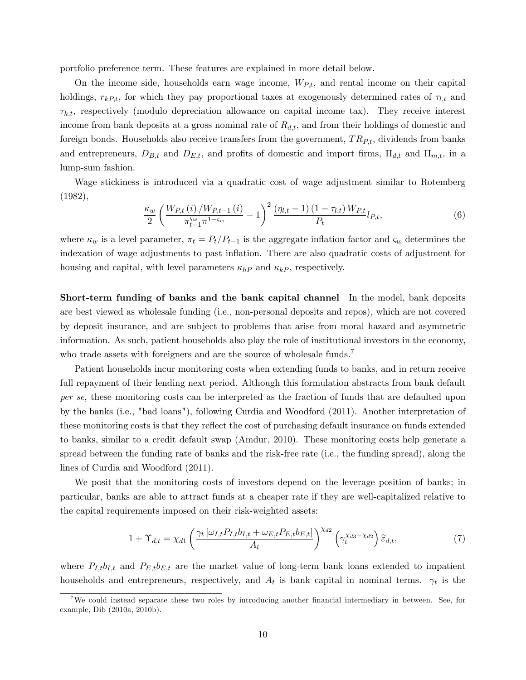portfolio preference term. These features are explained in more detail below.

On the income side, households earn wage income,  $W_{P,t}$ , and rental income on their capital holdings,  $r_{kP,t}$ , for which they pay proportional taxes at exogenously determined rates of  $\tau_{l,t}$  and  $\tau_{k,t}$ , respectively (modulo depreciation allowance on capital income tax). They receive interest income from bank deposits at a gross nominal rate of  $R_{d,t}$ , and from their holdings of domestic and foreign bonds. Households also receive transfers from the government,  $TR_{Pt}$ , dividends from banks and entrepreneurs,  $D_{B,t}$  and  $D_{E,t}$ , and profits of domestic and import firms,  $\Pi_{d,t}$  and  $\Pi_{m,t}$ , in a lump-sum fashion.

Wage stickiness is introduced via a quadratic cost of wage adjustment similar to Rotemberg (1982),

$$
\frac{\kappa_w}{2} \left( \frac{W_{P,t} \left( i \right) / W_{P,t-1} \left( i \right)}{\pi_{t-1}^{S_w} \pi^{1 - S_w}} - 1 \right)^2 \frac{\left( \eta_{l,t} - 1 \right) \left( 1 - \tau_{l,t} \right) W_{P,t}}{P_t} l_{P,t},\tag{6}
$$

where  $\kappa_w$  is a level parameter,  $\pi_t = P_t/P_{t-1}$  is the aggregate inflation factor and  $\varsigma_w$  determines the indexation of wage adjustments to past ináation. There are also quadratic costs of adjustment for housing and capital, with level parameters  $\kappa_{hP}$  and  $\kappa_{kP}$ , respectively.

Short-term funding of banks and the bank capital channel In the model, bank deposits are best viewed as wholesale funding (i.e., non-personal deposits and repos), which are not covered by deposit insurance, and are subject to problems that arise from moral hazard and asymmetric information. As such, patient households also play the role of institutional investors in the economy, who trade assets with foreigners and are the source of wholesale funds.<sup>7</sup>

Patient households incur monitoring costs when extending funds to banks, and in return receive full repayment of their lending next period. Although this formulation abstracts from bank default per se, these monitoring costs can be interpreted as the fraction of funds that are defaulted upon by the banks (i.e., "bad loans"), following Curdia and Woodford (2011). Another interpretation of these monitoring costs is that they reflect the cost of purchasing default insurance on funds extended to banks, similar to a credit default swap (Amdur, 2010). These monitoring costs help generate a spread between the funding rate of banks and the risk-free rate (i.e., the funding spread), along the lines of Curdia and Woodford (2011).

We posit that the monitoring costs of investors depend on the leverage position of banks; in particular, banks are able to attract funds at a cheaper rate if they are well-capitalized relative to the capital requirements imposed on their risk-weighted assets:

$$
1 + \Upsilon_{d,t} = \chi_{d1} \left( \frac{\gamma_t \left[ \omega_{I,t} P_{I,t} b_{I,t} + \omega_{E,t} P_{E,t} b_{E,t} \right]}{A_t} \right)^{\chi_{d2}} \left( \gamma_t^{\chi_{d3} - \chi_{d2}} \right) \widetilde{\varepsilon}_{d,t},\tag{7}
$$

where  $P_{I,t}b_{I,t}$  and  $P_{E,t}b_{E,t}$  are the market value of long-term bank loans extended to impatient households and entrepreneurs, respectively, and  $A_t$  is bank capital in nominal terms.  $\gamma_t$  is the

<sup>&</sup>lt;sup>7</sup>We could instead separate these two roles by introducing another financial intermediary in between. See, for example, Dib (2010a, 2010b).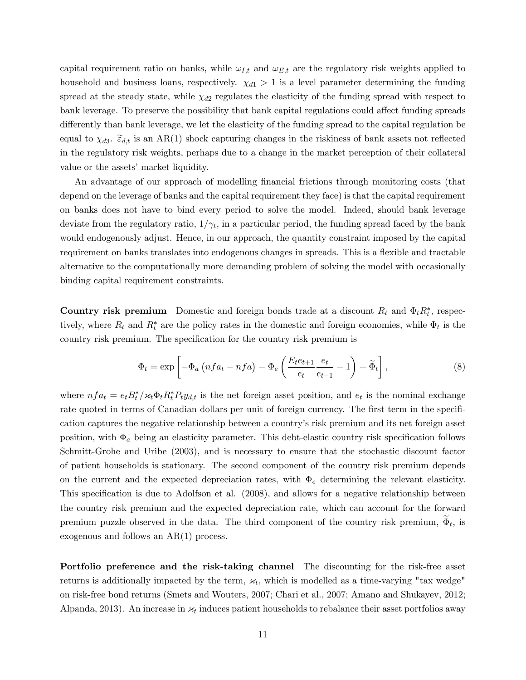capital requirement ratio on banks, while  $\omega_{I,t}$  and  $\omega_{E,t}$  are the regulatory risk weights applied to household and business loans, respectively.  $\chi_{d1} > 1$  is a level parameter determining the funding spread at the steady state, while  $\chi_{d2}$  regulates the elasticity of the funding spread with respect to bank leverage. To preserve the possibility that bank capital regulations could affect funding spreads differently than bank leverage, we let the elasticity of the funding spread to the capital regulation be equal to  $\chi_{d3}$ .  $\tilde{\epsilon}_{d,t}$  is an AR(1) shock capturing changes in the riskiness of bank assets not reflected in the regulatory risk weights, perhaps due to a change in the market perception of their collateral value or the assets' market liquidity.

An advantage of our approach of modelling financial frictions through monitoring costs (that depend on the leverage of banks and the capital requirement they face) is that the capital requirement on banks does not have to bind every period to solve the model. Indeed, should bank leverage deviate from the regulatory ratio,  $1/\gamma_t$ , in a particular period, the funding spread faced by the bank would endogenously adjust. Hence, in our approach, the quantity constraint imposed by the capital requirement on banks translates into endogenous changes in spreads. This is a flexible and tractable alternative to the computationally more demanding problem of solving the model with occasionally binding capital requirement constraints.

**Country risk premium** Domestic and foreign bonds trade at a discount  $R_t$  and  $\Phi_t R_t^*$ , respectively, where  $R_t$  and  $R_t^*$  are the policy rates in the domestic and foreign economies, while  $\Phi_t$  is the country risk premium. The specification for the country risk premium is

$$
\Phi_t = \exp\left[-\Phi_a \left(nfa_t - \overline{nfa}\right) - \Phi_e \left(\frac{E_te_{t+1}}{e_t} \frac{e_t}{e_{t-1}} - 1\right) + \widetilde{\Phi}_t\right],\tag{8}
$$

where  $nf a_t = e_t B_t^* / \varkappa_t \Phi_t R_t^* P_t y_{d,t}$  is the net foreign asset position, and  $e_t$  is the nominal exchange rate quoted in terms of Canadian dollars per unit of foreign currency. The first term in the specification captures the negative relationship between a countryís risk premium and its net foreign asset position, with  $\Phi_a$  being an elasticity parameter. This debt-elastic country risk specification follows Schmitt-Grohe and Uribe (2003), and is necessary to ensure that the stochastic discount factor of patient households is stationary. The second component of the country risk premium depends on the current and the expected depreciation rates, with  $\Phi_e$  determining the relevant elasticity. This specification is due to Adolfson et al. (2008), and allows for a negative relationship between the country risk premium and the expected depreciation rate, which can account for the forward premium puzzle observed in the data. The third component of the country risk premium,  $\Phi_t$ , is exogenous and follows an AR(1) process.

Portfolio preference and the risk-taking channel The discounting for the risk-free asset returns is additionally impacted by the term,  $\varkappa_t$ , which is modelled as a time-varying "tax wedge" on risk-free bond returns (Smets and Wouters, 2007; Chari et al., 2007; Amano and Shukayev, 2012; Alpanda, 2013). An increase in  $\varkappa_t$  induces patient households to rebalance their asset portfolios away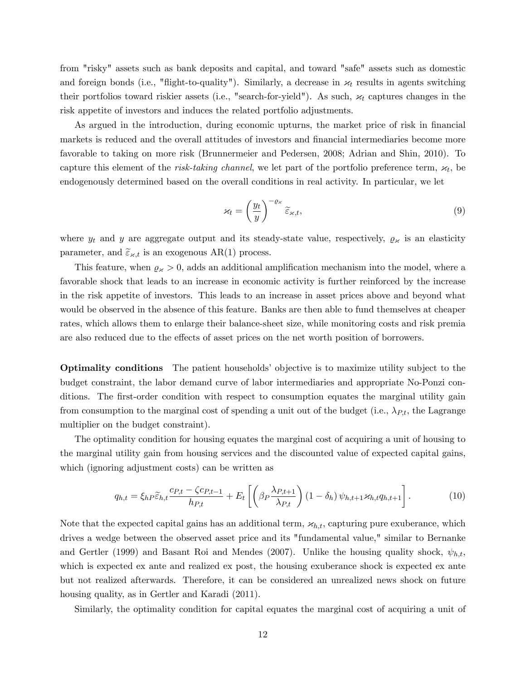from "risky" assets such as bank deposits and capital, and toward "safe" assets such as domestic and foreign bonds (i.e., "flight-to-quality"). Similarly, a decrease in  $\varkappa_t$  results in agents switching their portfolios toward riskier assets (i.e., "search-for-yield"). As such,  $\varkappa_t$  captures changes in the risk appetite of investors and induces the related portfolio adjustments.

As argued in the introduction, during economic upturns, the market price of risk in financial markets is reduced and the overall attitudes of investors and financial intermediaries become more favorable to taking on more risk (Brunnermeier and Pedersen, 2008; Adrian and Shin, 2010). To capture this element of the *risk-taking channel*, we let part of the portfolio preference term,  $\varkappa_t$ , be endogenously determined based on the overall conditions in real activity. In particular, we let

$$
\varkappa_t = \left(\frac{y_t}{y}\right)^{-\varrho_\varkappa} \widetilde{\varepsilon}_{\varkappa,t},\tag{9}
$$

where  $y_t$  and y are aggregate output and its steady-state value, respectively,  $\rho_{\varkappa}$  is an elasticity parameter, and  $\tilde{\varepsilon}_{\varkappa,t}$  is an exogenous AR(1) process.

This feature, when  $\varrho_{\varkappa} > 0$ , adds an additional amplification mechanism into the model, where a favorable shock that leads to an increase in economic activity is further reinforced by the increase in the risk appetite of investors. This leads to an increase in asset prices above and beyond what would be observed in the absence of this feature. Banks are then able to fund themselves at cheaper rates, which allows them to enlarge their balance-sheet size, while monitoring costs and risk premia are also reduced due to the effects of asset prices on the net worth position of borrowers.

**Optimality conditions** The patient households' objective is to maximize utility subject to the budget constraint, the labor demand curve of labor intermediaries and appropriate No-Ponzi conditions. The first-order condition with respect to consumption equates the marginal utility gain from consumption to the marginal cost of spending a unit out of the budget (i.e.,  $\lambda_{P,t}$ , the Lagrange multiplier on the budget constraint).

The optimality condition for housing equates the marginal cost of acquiring a unit of housing to the marginal utility gain from housing services and the discounted value of expected capital gains, which (ignoring adjustment costs) can be written as

$$
q_{h,t} = \xi_{h} \widetilde{\varepsilon}_{h,t} \frac{c_{P,t} - \zeta c_{P,t-1}}{h_{P,t}} + E_t \left[ \left( \beta_P \frac{\lambda_{P,t+1}}{\lambda_{P,t}} \right) (1 - \delta_h) \psi_{h,t+1} \varkappa_{h,t} q_{h,t+1} \right]. \tag{10}
$$

Note that the expected capital gains has an additional term,  $x_{h,t}$ , capturing pure exuberance, which drives a wedge between the observed asset price and its "fundamental value," similar to Bernanke and Gertler (1999) and Basant Roi and Mendes (2007). Unlike the housing quality shock,  $\psi_{h,t}$ , which is expected ex ante and realized ex post, the housing exuberance shock is expected ex ante but not realized afterwards. Therefore, it can be considered an unrealized news shock on future housing quality, as in Gertler and Karadi (2011).

Similarly, the optimality condition for capital equates the marginal cost of acquiring a unit of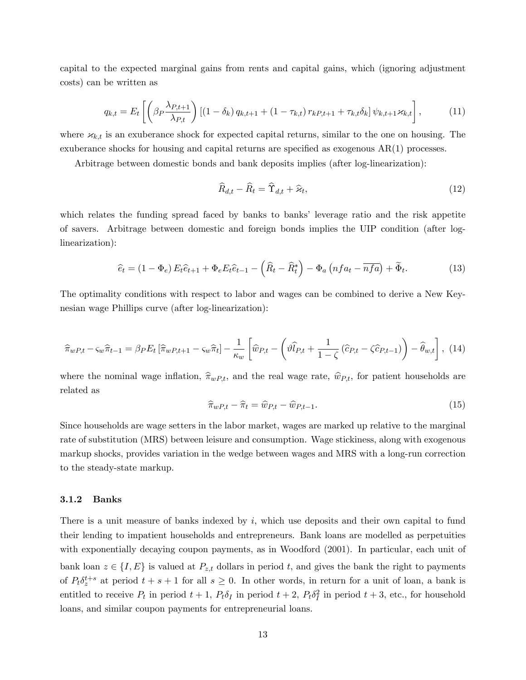capital to the expected marginal gains from rents and capital gains, which (ignoring adjustment costs) can be written as

$$
q_{k,t} = E_t \left[ \left( \beta_P \frac{\lambda_{P,t+1}}{\lambda_{P,t}} \right) \left[ (1 - \delta_k) q_{k,t+1} + (1 - \tau_{k,t}) r_{kP,t+1} + \tau_{k,t} \delta_k \right] \psi_{k,t+1} z_{k,t} \right],
$$
 (11)

where  $x_{k,t}$  is an exuberance shock for expected capital returns, similar to the one on housing. The exuberance shocks for housing and capital returns are specified as exogenous  $AR(1)$  processes.

Arbitrage between domestic bonds and bank deposits implies (after log-linearization):

$$
\widehat{R}_{d,t} - \widehat{R}_t = \widehat{\Upsilon}_{d,t} + \widehat{\varkappa}_t,\tag{12}
$$

which relates the funding spread faced by banks to banks' leverage ratio and the risk appetite of savers. Arbitrage between domestic and foreign bonds implies the UIP condition (after loglinearization):

$$
\hat{e}_t = (1 - \Phi_e) E_t \hat{e}_{t+1} + \Phi_e E_t \hat{e}_{t-1} - \left(\hat{R}_t - \hat{R}_t^*\right) - \Phi_a \left(n f a_t - \overline{n f a}\right) + \tilde{\Phi}_t.
$$
\n(13)

The optimality conditions with respect to labor and wages can be combined to derive a New Keynesian wage Phillips curve (after log-linearization):

$$
\widehat{\pi}_{wP,t} - \varsigma_w \widehat{\pi}_{t-1} = \beta_P E_t \left[ \widehat{\pi}_{wP,t+1} - \varsigma_w \widehat{\pi}_t \right] - \frac{1}{\kappa_w} \left[ \widehat{w}_{P,t} - \left( \widehat{v} \widehat{\mu}_{P,t} + \frac{1}{1-\zeta} \left( \widehat{c}_{P,t} - \zeta \widehat{c}_{P,t-1} \right) \right) - \widehat{\theta}_{w,t} \right], \tag{14}
$$

where the nominal wage inflation,  $\hat{\pi}_{wP,t}$ , and the real wage rate,  $\hat{w}_{P,t}$ , for patient households are related as

$$
\widehat{\pi}_{wP,t} - \widehat{\pi}_t = \widehat{w}_{P,t} - \widehat{w}_{P,t-1}.
$$
\n(15)

Since households are wage setters in the labor market, wages are marked up relative to the marginal rate of substitution (MRS) between leisure and consumption. Wage stickiness, along with exogenous markup shocks, provides variation in the wedge between wages and MRS with a long-run correction to the steady-state markup.

#### 3.1.2 Banks

There is a unit measure of banks indexed by  $i$ , which use deposits and their own capital to fund their lending to impatient households and entrepreneurs. Bank loans are modelled as perpetuities with exponentially decaying coupon payments, as in Woodford (2001). In particular, each unit of bank loan  $z \in \{I, E\}$  is valued at  $P_{z,t}$  dollars in period t, and gives the bank the right to payments of  $P_t \delta_z^{t+s}$  at period  $t+s+1$  for all  $s\geq 0$ . In other words, in return for a unit of loan, a bank is entitled to receive  $P_t$  in period  $t+1$ ,  $P_t \delta_I$  in period  $t+2$ ,  $P_t \delta_I^2$  in period  $t+3$ , etc., for household loans, and similar coupon payments for entrepreneurial loans.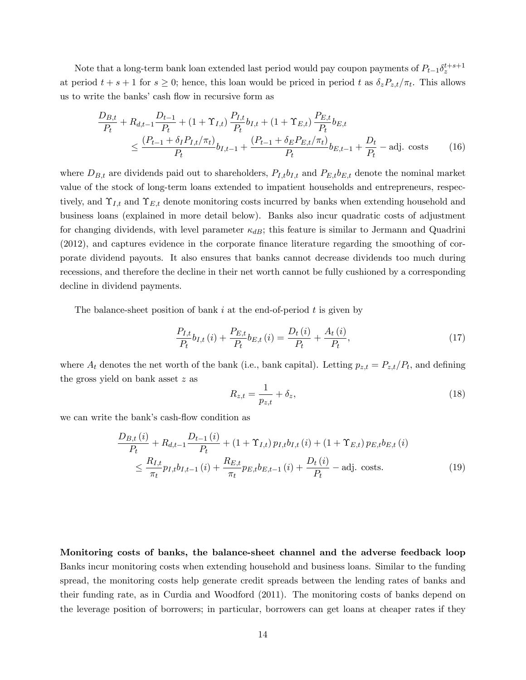Note that a long-term bank loan extended last period would pay coupon payments of  $P_{t-1}\delta_z^{t+s+1}$ at period  $t + s + 1$  for  $s \geq 0$ ; hence, this loan would be priced in period t as  $\delta_z P_{z,t}/\pi_t$ . This allows us to write the banks' cash flow in recursive form as

$$
\frac{D_{B,t}}{P_t} + R_{d,t-1} \frac{D_{t-1}}{P_t} + (1 + \Upsilon_{I,t}) \frac{P_{I,t}}{P_t} b_{I,t} + (1 + \Upsilon_{E,t}) \frac{P_{E,t}}{P_t} b_{E,t}
$$
\n
$$
\leq \frac{(P_{t-1} + \delta_I P_{I,t}/\pi_t)}{P_t} b_{I,t-1} + \frac{(P_{t-1} + \delta_E P_{E,t}/\pi_t)}{P_t} b_{E,t-1} + \frac{D_t}{P_t} - \text{adj. costs} \tag{16}
$$

where  $D_{B,t}$  are dividends paid out to shareholders,  $P_{I,t}b_{I,t}$  and  $P_{E,t}b_{E,t}$  denote the nominal market value of the stock of long-term loans extended to impatient households and entrepreneurs, respectively, and  $\Upsilon_{I,t}$  and  $\Upsilon_{E,t}$  denote monitoring costs incurred by banks when extending household and business loans (explained in more detail below). Banks also incur quadratic costs of adjustment for changing dividends, with level parameter  $\kappa_{dB}$ ; this feature is similar to Jermann and Quadrini  $(2012)$ , and captures evidence in the corporate finance literature regarding the smoothing of corporate dividend payouts. It also ensures that banks cannot decrease dividends too much during recessions, and therefore the decline in their net worth cannot be fully cushioned by a corresponding decline in dividend payments.

The balance-sheet position of bank i at the end-of-period  $t$  is given by

$$
\frac{P_{I,t}}{P_t}b_{I,t}(i) + \frac{P_{E,t}}{P_t}b_{E,t}(i) = \frac{D_t(i)}{P_t} + \frac{A_t(i)}{P_t},
$$
\n(17)

where  $A_t$  denotes the net worth of the bank (i.e., bank capital). Letting  $p_{z,t} = P_{z,t}/P_t$ , and defining the gross yield on bank asset z as

$$
R_{z,t} = \frac{1}{p_{z,t}} + \delta_z,\tag{18}
$$

we can write the bank's cash-flow condition as

$$
\frac{D_{B,t}(i)}{P_t} + R_{d,t-1} \frac{D_{t-1}(i)}{P_t} + (1 + \Upsilon_{I,t}) p_{I,t} b_{I,t}(i) + (1 + \Upsilon_{E,t}) p_{E,t} b_{E,t}(i)
$$
\n
$$
\leq \frac{R_{I,t}}{\pi_t} p_{I,t} b_{I,t-1}(i) + \frac{R_{E,t}}{\pi_t} p_{E,t} b_{E,t-1}(i) + \frac{D_t(i)}{P_t} - \text{adj. costs.}
$$
\n(19)

Monitoring costs of banks, the balance-sheet channel and the adverse feedback loop Banks incur monitoring costs when extending household and business loans. Similar to the funding spread, the monitoring costs help generate credit spreads between the lending rates of banks and their funding rate, as in Curdia and Woodford (2011). The monitoring costs of banks depend on the leverage position of borrowers; in particular, borrowers can get loans at cheaper rates if they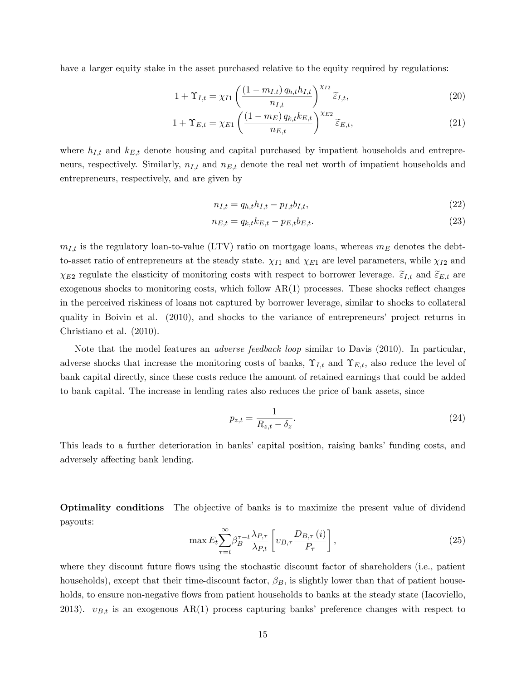have a larger equity stake in the asset purchased relative to the equity required by regulations:

$$
1 + \Upsilon_{I,t} = \chi_{I1}\left(\frac{\left(1 - m_{I,t}\right)q_{h,t}h_{I,t}}{n_{I,t}}\right)^{\chi_{I2}}\widetilde{\varepsilon}_{I,t},\tag{20}
$$

$$
1 + \Upsilon_{E,t} = \chi_{E1} \left( \frac{\left(1 - m_E\right) q_{k,t} k_{E,t}}{n_{E,t}} \right)^{\chi_{E2}} \widetilde{\varepsilon}_{E,t},\tag{21}
$$

where  $h_{I,t}$  and  $k_{E,t}$  denote housing and capital purchased by impatient households and entrepreneurs, respectively. Similarly,  $n_{I,t}$  and  $n_{E,t}$  denote the real net worth of impatient households and entrepreneurs, respectively, and are given by

$$
n_{I,t} = q_{h,t}h_{I,t} - p_{I,t}b_{I,t},
$$
\n(22)

$$
n_{E,t} = q_{k,t}k_{E,t} - p_{E,t}b_{E,t}.\tag{23}
$$

 $m_{I,t}$  is the regulatory loan-to-value (LTV) ratio on mortgage loans, whereas  $m_E$  denotes the debtto-asset ratio of entrepreneurs at the steady state.  $\chi_{I1}$  and  $\chi_{E1}$  are level parameters, while  $\chi_{I2}$  and  $\chi_{E2}$  regulate the elasticity of monitoring costs with respect to borrower leverage.  $\tilde{\varepsilon}_{I,t}$  and  $\tilde{\varepsilon}_{E,t}$  are exogenous shocks to monitoring costs, which follow  $AR(1)$  processes. These shocks reflect changes in the perceived riskiness of loans not captured by borrower leverage, similar to shocks to collateral quality in Boivin et al. (2010), and shocks to the variance of entrepreneurs' project returns in Christiano et al. (2010).

Note that the model features an adverse feedback loop similar to Davis (2010). In particular, adverse shocks that increase the monitoring costs of banks,  $\Upsilon_{I,t}$  and  $\Upsilon_{E,t}$ , also reduce the level of bank capital directly, since these costs reduce the amount of retained earnings that could be added to bank capital. The increase in lending rates also reduces the price of bank assets, since

$$
p_{z,t} = \frac{1}{R_{z,t} - \delta_z}.\tag{24}
$$

This leads to a further deterioration in banks' capital position, raising banks' funding costs, and adversely affecting bank lending.

Optimality conditions The objective of banks is to maximize the present value of dividend payouts:

$$
\max E_t \sum_{\tau=t}^{\infty} \beta_B^{\tau-t} \frac{\lambda_{P,\tau}}{\lambda_{P,t}} \left[ v_{B,\tau} \frac{D_{B,\tau}(i)}{P_{\tau}} \right],\tag{25}
$$

where they discount future flows using the stochastic discount factor of shareholders (i.e., patient households), except that their time-discount factor,  $\beta_B$ , is slightly lower than that of patient households, to ensure non-negative flows from patient households to banks at the steady state (Iacoviello, 2013).  $v_{B,t}$  is an exogenous AR(1) process capturing banks' preference changes with respect to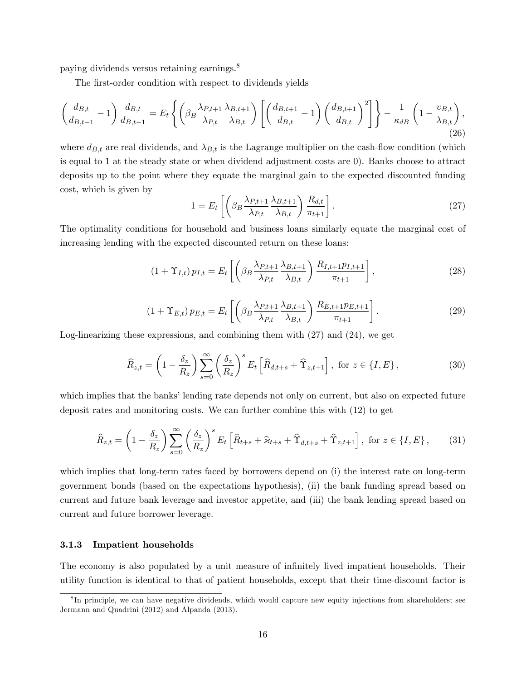paying dividends versus retaining earnings.<sup>8</sup>

The first-order condition with respect to dividends yields

$$
\left(\frac{d_{B,t}}{d_{B,t-1}}-1\right)\frac{d_{B,t}}{d_{B,t-1}} = E_t\left\{ \left(\beta_B \frac{\lambda_{P,t+1}}{\lambda_{P,t}} \frac{\lambda_{B,t+1}}{\lambda_{B,t}}\right) \left[\left(\frac{d_{B,t+1}}{d_{B,t}}-1\right) \left(\frac{d_{B,t+1}}{d_{B,t}}\right)^2\right] \right\} - \frac{1}{\kappa_{dB}} \left(1 - \frac{v_{B,t}}{\lambda_{B,t}}\right),\tag{26}
$$

where  $d_{B,t}$  are real dividends, and  $\lambda_{B,t}$  is the Lagrange multiplier on the cash-flow condition (which is equal to 1 at the steady state or when dividend adjustment costs are 0). Banks choose to attract deposits up to the point where they equate the marginal gain to the expected discounted funding cost, which is given by

$$
1 = E_t \left[ \left( \beta_B \frac{\lambda_{P,t+1}}{\lambda_{P,t}} \frac{\lambda_{B,t+1}}{\lambda_{B,t}} \right) \frac{R_{d,t}}{\pi_{t+1}} \right].
$$
 (27)

The optimality conditions for household and business loans similarly equate the marginal cost of increasing lending with the expected discounted return on these loans:

$$
(1+\Upsilon_{I,t})p_{I,t} = E_t \left[ \left( \beta_B \frac{\lambda_{P,t+1}}{\lambda_{P,t}} \frac{\lambda_{B,t+1}}{\lambda_{B,t}} \right) \frac{R_{I,t+1}p_{I,t+1}}{\pi_{t+1}} \right],
$$
\n(28)

$$
(1+\Upsilon_{E,t}) p_{E,t} = E_t \left[ \left( \beta_B \frac{\lambda_{P,t+1}}{\lambda_{P,t}} \frac{\lambda_{B,t+1}}{\lambda_{B,t}} \right) \frac{R_{E,t+1} p_{E,t+1}}{\pi_{t+1}} \right].
$$
 (29)

Log-linearizing these expressions, and combining them with (27) and (24), we get

$$
\widehat{R}_{z,t} = \left(1 - \frac{\delta_z}{R_z}\right) \sum_{s=0}^{\infty} \left(\frac{\delta_z}{R_z}\right)^s E_t \left[\widehat{R}_{d,t+s} + \widehat{\Upsilon}_{z,t+1}\right], \text{ for } z \in \{I, E\},\tag{30}
$$

which implies that the banks' lending rate depends not only on current, but also on expected future deposit rates and monitoring costs. We can further combine this with (12) to get

$$
\widehat{R}_{z,t} = \left(1 - \frac{\delta_z}{R_z}\right) \sum_{s=0}^{\infty} \left(\frac{\delta_z}{R_z}\right)^s E_t \left[\widehat{R}_{t+s} + \widehat{\varkappa}_{t+s} + \widehat{\Upsilon}_{d,t+s} + \widehat{\Upsilon}_{z,t+1}\right], \text{ for } z \in \{I, E\},\tag{31}
$$

which implies that long-term rates faced by borrowers depend on (i) the interest rate on long-term government bonds (based on the expectations hypothesis), (ii) the bank funding spread based on current and future bank leverage and investor appetite, and (iii) the bank lending spread based on current and future borrower leverage.

#### 3.1.3 Impatient households

The economy is also populated by a unit measure of infinitely lived impatient households. Their utility function is identical to that of patient households, except that their time-discount factor is

<sup>&</sup>lt;sup>8</sup>In principle, we can have negative dividends, which would capture new equity injections from shareholders; see Jermann and Quadrini (2012) and Alpanda (2013).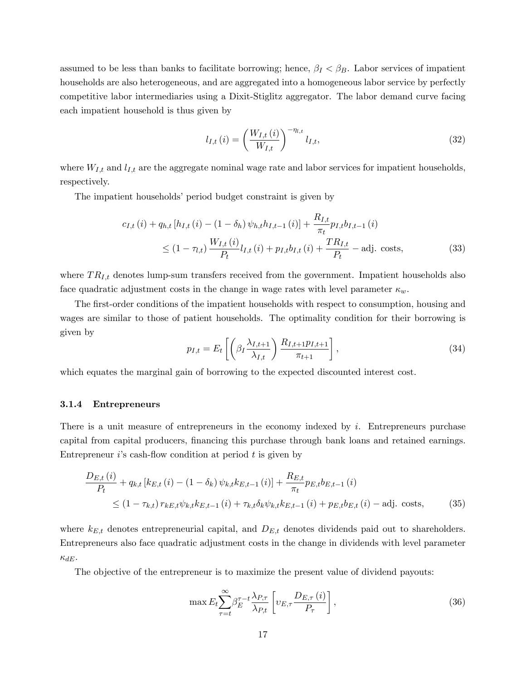assumed to be less than banks to facilitate borrowing; hence,  $\beta_I < \beta_B$ . Labor services of impatient households are also heterogeneous, and are aggregated into a homogeneous labor service by perfectly competitive labor intermediaries using a Dixit-Stiglitz aggregator. The labor demand curve facing each impatient household is thus given by

$$
l_{I,t}(i) = \left(\frac{W_{I,t}(i)}{W_{I,t}}\right)^{-\eta_{l,t}} l_{I,t},
$$
\n(32)

where  $W_{I,t}$  and  $l_{I,t}$  are the aggregate nominal wage rate and labor services for impatient households, respectively.

The impatient households' period budget constraint is given by

$$
c_{I,t}(i) + q_{h,t}[h_{I,t}(i) - (1 - \delta_h) \psi_{h,t} h_{I,t-1}(i)] + \frac{R_{I,t}}{\pi_t} p_{I,t} b_{I,t-1}(i)
$$
  
 
$$
\leq (1 - \tau_{l,t}) \frac{W_{I,t}(i)}{P_t} l_{I,t}(i) + p_{I,t} b_{I,t}(i) + \frac{TR_{I,t}}{P_t} - \text{adj. costs},
$$
 (33)

where  $TR_{I,t}$  denotes lump-sum transfers received from the government. Impatient households also face quadratic adjustment costs in the change in wage rates with level parameter  $\kappa_w$ .

The first-order conditions of the impatient households with respect to consumption, housing and wages are similar to those of patient households. The optimality condition for their borrowing is given by

$$
p_{I,t} = E_t \left[ \left( \beta_I \frac{\lambda_{I,t+1}}{\lambda_{I,t}} \right) \frac{R_{I,t+1} p_{I,t+1}}{\pi_{t+1}} \right],
$$
\n(34)

which equates the marginal gain of borrowing to the expected discounted interest cost.

#### 3.1.4 Entrepreneurs

There is a unit measure of entrepreneurs in the economy indexed by  $i$ . Entrepreneurs purchase capital from capital producers, financing this purchase through bank loans and retained earnings. Entrepreneur is cash-flow condition at period  $t$  is given by

$$
\frac{D_{E,t}(i)}{P_t} + q_{k,t} \left[ k_{E,t}(i) - (1 - \delta_k) \psi_{k,t} k_{E,t-1}(i) \right] + \frac{R_{E,t}}{\pi_t} p_{E,t} b_{E,t-1}(i)
$$
\n
$$
\leq (1 - \tau_{k,t}) \, r_{k,E,t} \psi_{k,t} k_{E,t-1}(i) + \tau_{k,t} \delta_k \psi_{k,t} k_{E,t-1}(i) + p_{E,t} b_{E,t}(i) - \text{adj. costs}, \tag{35}
$$

where  $k_{E,t}$  denotes entrepreneurial capital, and  $D_{E,t}$  denotes dividends paid out to shareholders. Entrepreneurs also face quadratic adjustment costs in the change in dividends with level parameter  $\kappa_{dE}$ .

The objective of the entrepreneur is to maximize the present value of dividend payouts:

$$
\max E_t \sum_{\tau=t}^{\infty} \beta_E^{\tau-t} \frac{\lambda_{P,\tau}}{\lambda_{P,t}} \left[ \nu_{E,\tau} \frac{D_{E,\tau}(i)}{P_{\tau}} \right],\tag{36}
$$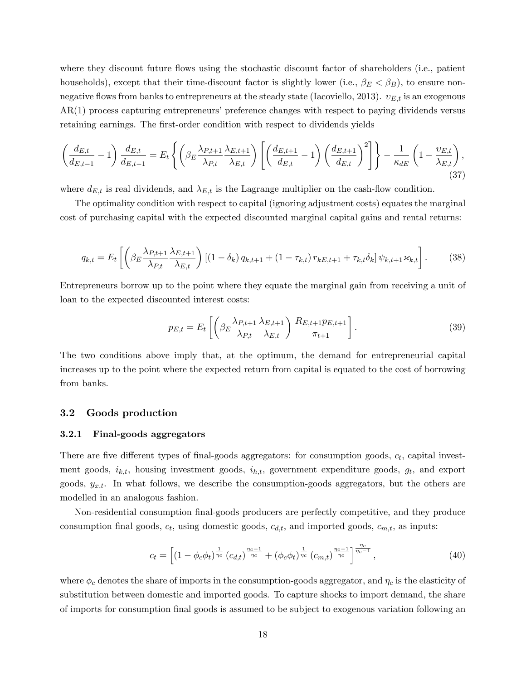where they discount future flows using the stochastic discount factor of shareholders (i.e., patient households), except that their time-discount factor is slightly lower (i.e.,  $\beta_E < \beta_B$ ), to ensure nonnegative flows from banks to entrepreneurs at the steady state (Iacoviello, 2013).  $v_{E,t}$  is an exogenous  $AR(1)$  process capturing entrepreneurs' preference changes with respect to paying dividends versus retaining earnings. The first-order condition with respect to dividends yields

$$
\left(\frac{d_{E,t}}{d_{E,t-1}}-1\right)\frac{d_{E,t}}{d_{E,t-1}} = E_t\left\{ \left(\beta_E \frac{\lambda_{P,t+1}}{\lambda_{P,t}} \frac{\lambda_{E,t+1}}{\lambda_{E,t}}\right) \left[\left(\frac{d_{E,t+1}}{d_{E,t}}-1\right) \left(\frac{d_{E,t+1}}{d_{E,t}}\right)^2\right] \right\} - \frac{1}{\kappa_{dE}} \left(1 - \frac{\upsilon_{E,t}}{\lambda_{E,t}}\right),\tag{37}
$$

where  $d_{E,t}$  is real dividends, and  $\lambda_{E,t}$  is the Lagrange multiplier on the cash-flow condition.

The optimality condition with respect to capital (ignoring adjustment costs) equates the marginal cost of purchasing capital with the expected discounted marginal capital gains and rental returns:

$$
q_{k,t} = E_t \left[ \left( \beta_E \frac{\lambda_{P,t+1}}{\lambda_{P,t}} \frac{\lambda_{E,t+1}}{\lambda_{E,t}} \right) \left[ (1 - \delta_k) q_{k,t+1} + (1 - \tau_{k,t}) r_{k,E,t+1} + \tau_{k,t} \delta_k \right] \psi_{k,t+1} z_{k,t} \right].
$$
 (38)

Entrepreneurs borrow up to the point where they equate the marginal gain from receiving a unit of loan to the expected discounted interest costs:

$$
p_{E,t} = E_t \left[ \left( \beta_E \frac{\lambda_{P,t+1}}{\lambda_{P,t}} \frac{\lambda_{E,t+1}}{\lambda_{E,t}} \right) \frac{R_{E,t+1} p_{E,t+1}}{\pi_{t+1}} \right]. \tag{39}
$$

The two conditions above imply that, at the optimum, the demand for entrepreneurial capital increases up to the point where the expected return from capital is equated to the cost of borrowing from banks.

#### 3.2 Goods production

#### 3.2.1 Final-goods aggregators

There are five different types of final-goods aggregators: for consumption goods,  $c_t$ , capital investment goods,  $i_{k,t}$ , housing investment goods,  $i_{h,t}$ , government expenditure goods,  $g_t$ , and export goods,  $y_{x,t}$ . In what follows, we describe the consumption-goods aggregators, but the others are modelled in an analogous fashion.

Non-residential consumption Önal-goods producers are perfectly competitive, and they produce consumption final goods,  $c_t$ , using domestic goods,  $c_{d,t}$ , and imported goods,  $c_{m,t}$ , as inputs:

$$
c_t = \left[ (1 - \phi_c \phi_t)^{\frac{1}{\eta_c}} \left( c_{d,t} \right)^{\frac{\eta_c - 1}{\eta_c}} + \left( \phi_c \phi_t \right)^{\frac{1}{\eta_c}} \left( c_{m,t} \right)^{\frac{\eta_c - 1}{\eta_c}} \right]^{\frac{\eta_c}{\eta_c - 1}},\tag{40}
$$

where  $\phi_c$  denotes the share of imports in the consumption-goods aggregator, and  $\eta_c$  is the elasticity of substitution between domestic and imported goods. To capture shocks to import demand, the share of imports for consumption Önal goods is assumed to be subject to exogenous variation following an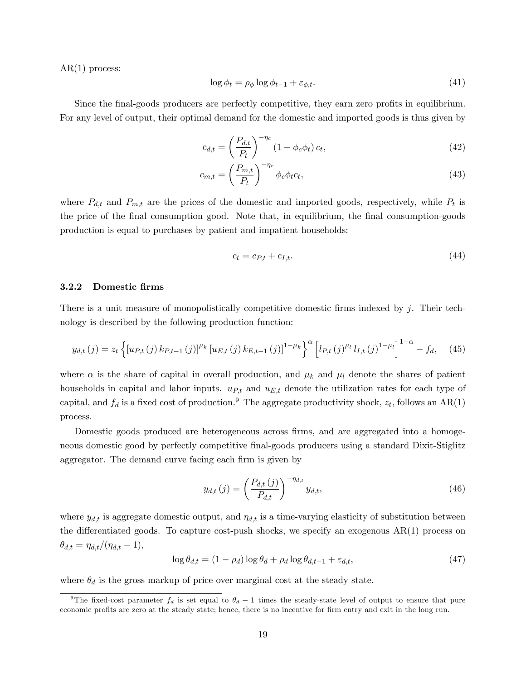$AR(1)$  process:

$$
\log \phi_t = \rho_\phi \log \phi_{t-1} + \varepsilon_{\phi, t}.\tag{41}
$$

Since the final-goods producers are perfectly competitive, they earn zero profits in equilibrium. For any level of output, their optimal demand for the domestic and imported goods is thus given by

$$
c_{d,t} = \left(\frac{P_{d,t}}{P_t}\right)^{-\eta_c} \left(1 - \phi_c \phi_t\right) c_t,\tag{42}
$$

$$
c_{m,t} = \left(\frac{P_{m,t}}{P_t}\right)^{-\eta_c} \phi_c \phi_t c_t,\tag{43}
$$

where  $P_{d,t}$  and  $P_{m,t}$  are the prices of the domestic and imported goods, respectively, while  $P_t$  is the price of the final consumption good. Note that, in equilibrium, the final consumption-goods production is equal to purchases by patient and impatient households:

$$
c_t = c_{P,t} + c_{I,t}.\tag{44}
$$

#### 3.2.2 Domestic Örms

There is a unit measure of monopolistically competitive domestic firms indexed by  $j$ . Their technology is described by the following production function:

$$
y_{d,t}(j) = z_t \left\{ \left[ u_{P,t}(j) \, k_{P,t-1}(j) \right]^{\mu_k} \left[ u_{E,t}(j) \, k_{E,t-1}(j) \right]^{1-\mu_k} \right\}^\alpha \left[ l_{P,t}(j)^{\mu_l} \, l_{I,t}(j)^{1-\mu_l} \right]^{1-\alpha} - f_d, \tag{45}
$$

where  $\alpha$  is the share of capital in overall production, and  $\mu_k$  and  $\mu_l$  denote the shares of patient households in capital and labor inputs.  $u_{P,t}$  and  $u_{E,t}$  denote the utilization rates for each type of capital, and  $f_d$  is a fixed cost of production.<sup>9</sup> The aggregate productivity shock,  $z_t$ , follows an AR(1) process.

Domestic goods produced are heterogeneous across firms, and are aggregated into a homogeneous domestic good by perfectly competitive final-goods producers using a standard Dixit-Stiglitz aggregator. The demand curve facing each firm is given by

$$
y_{d,t}(j) = \left(\frac{P_{d,t}(j)}{P_{d,t}}\right)^{-\eta_{d,t}} y_{d,t},\tag{46}
$$

where  $y_{d,t}$  is aggregate domestic output, and  $\eta_{d,t}$  is a time-varying elasticity of substitution between the differentiated goods. To capture cost-push shocks, we specify an exogenous  $AR(1)$  process on  $\theta_{d,t} = \eta_{d,t}/(\eta_{d,t} - 1),$ 

$$
\log \theta_{d,t} = (1 - \rho_d) \log \theta_d + \rho_d \log \theta_{d,t-1} + \varepsilon_{d,t},\tag{47}
$$

where  $\theta_d$  is the gross markup of price over marginal cost at the steady state.

<sup>&</sup>lt;sup>9</sup>The fixed-cost parameter  $f_d$  is set equal to  $\theta_d - 1$  times the steady-state level of output to ensure that pure economic profits are zero at the steady state; hence, there is no incentive for firm entry and exit in the long run.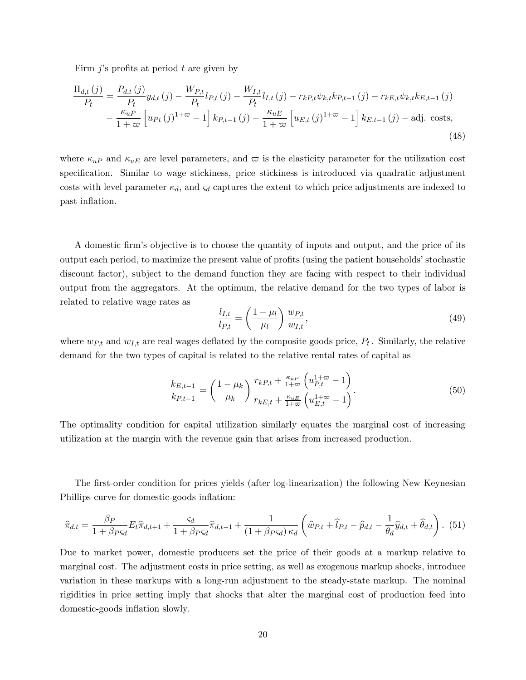Firm  $j$ 's profits at period  $t$  are given by

$$
\frac{\Pi_{d,t}(j)}{P_t} = \frac{P_{d,t}(j)}{P_t} y_{d,t}(j) - \frac{W_{P,t}}{P_t} l_{P,t}(j) - \frac{W_{I,t}}{P_t} l_{I,t}(j) - r_{kP,t} \psi_{k,t} k_{P,t-1}(j) - r_{kE,t} \psi_{k,t} k_{E,t-1}(j) \n- \frac{\kappa_{uP}}{1+\varpi} \left[ u_{Pt}(j)^{1+\varpi} - 1 \right] k_{P,t-1}(j) - \frac{\kappa_{uE}}{1+\varpi} \left[ u_{E,t}(j)^{1+\varpi} - 1 \right] k_{E,t-1}(j) - \text{adj. costs},
$$
\n(48)

where  $\kappa_{uP}$  and  $\kappa_{uE}$  are level parameters, and  $\varpi$  is the elasticity parameter for the utilization cost specification. Similar to wage stickiness, price stickiness is introduced via quadratic adjustment costs with level parameter  $\kappa_d$ , and  $\varsigma_d$  captures the extent to which price adjustments are indexed to past inflation.

A domestic Örmís objective is to choose the quantity of inputs and output, and the price of its output each period, to maximize the present value of profits (using the patient households' stochastic discount factor), subject to the demand function they are facing with respect to their individual output from the aggregators. At the optimum, the relative demand for the two types of labor is related to relative wage rates as

$$
\frac{l_{I,t}}{l_{P,t}} = \left(\frac{1-\mu_l}{\mu_l}\right) \frac{w_{P,t}}{w_{I,t}},\tag{49}
$$

where  $w_{P,t}$  and  $w_{I,t}$  are real wages deflated by the composite goods price,  $P_t$ . Similarly, the relative demand for the two types of capital is related to the relative rental rates of capital as

$$
\frac{k_{E,t-1}}{k_{P,t-1}} = \left(\frac{1-\mu_k}{\mu_k}\right) \frac{r_{kP,t} + \frac{\kappa_{uP}}{1+\varpi} \left(u_{P,t}^{1+\varpi}-1\right)}{r_{kE,t} + \frac{\kappa_{uE}}{1+\varpi} \left(u_{E,t}^{1+\varpi}-1\right)}.\tag{50}
$$

The optimality condition for capital utilization similarly equates the marginal cost of increasing utilization at the margin with the revenue gain that arises from increased production.

The first-order condition for prices yields (after log-linearization) the following New Keynesian Phillips curve for domestic-goods inflation:

$$
\widehat{\pi}_{d,t} = \frac{\beta_P}{1 + \beta_{PSd}} E_t \widehat{\pi}_{d,t+1} + \frac{\varsigma_d}{1 + \beta_{PSd}} \widehat{\pi}_{d,t-1} + \frac{1}{(1 + \beta_{PSd}) \kappa_d} \left( \widehat{w}_{P,t} + \widehat{l}_{P,t} - \widehat{p}_{d,t} - \frac{1}{\theta_d} \widehat{y}_{d,t} + \widehat{\theta}_{d,t} \right). (51)
$$

Due to market power, domestic producers set the price of their goods at a markup relative to marginal cost. The adjustment costs in price setting, as well as exogenous markup shocks, introduce variation in these markups with a long-run adjustment to the steady-state markup. The nominal rigidities in price setting imply that shocks that alter the marginal cost of production feed into domestic-goods inflation slowly.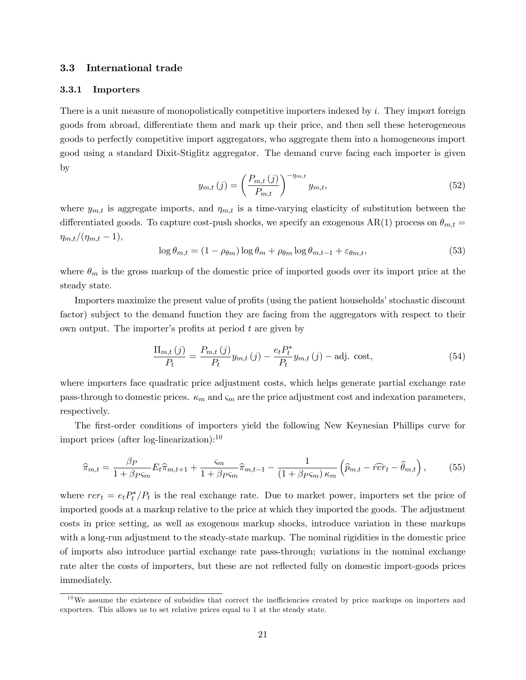#### 3.3 International trade

#### 3.3.1 Importers

There is a unit measure of monopolistically competitive importers indexed by i. They import foreign goods from abroad, differentiate them and mark up their price, and then sell these heterogeneous goods to perfectly competitive import aggregators, who aggregate them into a homogeneous import good using a standard Dixit-Stiglitz aggregator. The demand curve facing each importer is given by

$$
y_{m,t}(j) = \left(\frac{P_{m,t}(j)}{P_{m,t}}\right)^{-\eta_{m,t}} y_{m,t},
$$
\n(52)

where  $y_{m,t}$  is aggregate imports, and  $\eta_{m,t}$  is a time-varying elasticity of substitution between the differentiated goods. To capture cost-push shocks, we specify an exogenous AR(1) process on  $\theta_{m,t} =$  $\eta_{m,t}/(\eta_{m,t} - 1),$ 

$$
\log \theta_{m,t} = (1 - \rho_{\theta m}) \log \theta_m + \rho_{\theta m} \log \theta_{m,t-1} + \varepsilon_{\theta m,t},\tag{53}
$$

where  $\theta_m$  is the gross markup of the domestic price of imported goods over its import price at the steady state.

Importers maximize the present value of profits (using the patient households' stochastic discount factor) subject to the demand function they are facing from the aggregators with respect to their own output. The importer's profits at period  $t$  are given by

$$
\frac{\Pi_{m,t}(j)}{P_t} = \frac{P_{m,t}(j)}{P_t} y_{m,t}(j) - \frac{e_t P_t^*}{P_t} y_{m,t}(j) - \text{adj. cost},
$$
\n(54)

where importers face quadratic price adjustment costs, which helps generate partial exchange rate pass-through to domestic prices.  $\kappa_m$  and  $\zeta_m$  are the price adjustment cost and indexation parameters, respectively.

The first-order conditions of importers yield the following New Keynesian Phillips curve for import prices (after log-linearization): $^{10}$ 

$$
\widehat{\pi}_{m,t} = \frac{\beta_P}{1 + \beta_P \varsigma_m} E_t \widehat{\pi}_{m,t+1} + \frac{\varsigma_m}{1 + \beta_P \varsigma_m} \widehat{\pi}_{m,t-1} - \frac{1}{(1 + \beta_P \varsigma_m) \kappa_m} \left( \widehat{p}_{m,t} - \widehat{r} \widehat{e} r_t - \widehat{\theta}_{m,t} \right),\tag{55}
$$

where  $rer_t = e_t P_t^* / P_t$  is the real exchange rate. Due to market power, importers set the price of imported goods at a markup relative to the price at which they imported the goods. The adjustment costs in price setting, as well as exogenous markup shocks, introduce variation in these markups with a long-run adjustment to the steady-state markup. The nominal rigidities in the domestic price of imports also introduce partial exchange rate pass-through; variations in the nominal exchange rate alter the costs of importers, but these are not reflected fully on domestic import-goods prices immediately.

 $10$ We assume the existence of subsidies that correct the inefficiencies created by price markups on importers and exporters. This allows us to set relative prices equal to 1 at the steady state.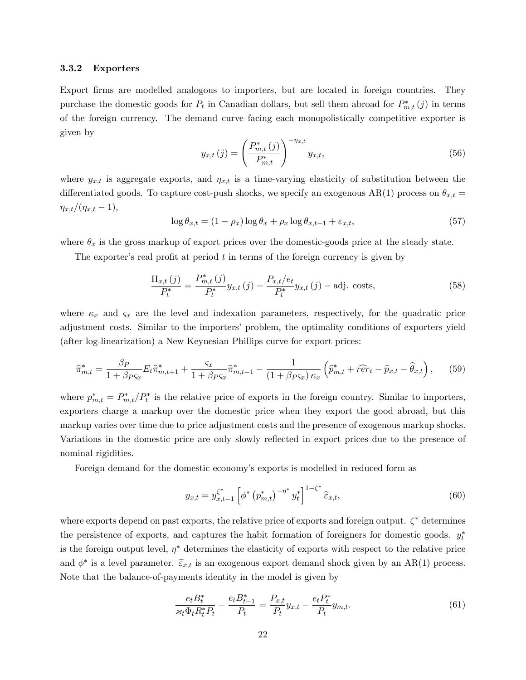#### 3.3.2 Exporters

Export firms are modelled analogous to importers, but are located in foreign countries. They purchase the domestic goods for  $P_t$  in Canadian dollars, but sell them abroad for  $P_{m,t}^*(j)$  in terms of the foreign currency. The demand curve facing each monopolistically competitive exporter is given by

$$
y_{x,t}(j) = \left(\frac{P_{m,t}^*(j)}{P_{m,t}^*}\right)^{-\eta_{x,t}} y_{x,t},
$$
\n(56)

where  $y_{x,t}$  is aggregate exports, and  $\eta_{x,t}$  is a time-varying elasticity of substitution between the differentiated goods. To capture cost-push shocks, we specify an exogenous AR(1) process on  $\theta_{x,t} =$  $\eta_{x,t}/(\eta_{x,t} - 1),$ 

$$
\log \theta_{x,t} = (1 - \rho_x) \log \theta_x + \rho_x \log \theta_{x,t-1} + \varepsilon_{x,t},\tag{57}
$$

where  $\theta_x$  is the gross markup of export prices over the domestic-goods price at the steady state.

The exporter's real profit at period  $t$  in terms of the foreign currency is given by

$$
\frac{\Pi_{x,t}(j)}{P_t^*} = \frac{P_{m,t}^*(j)}{P_t^*} y_{x,t}(j) - \frac{P_{x,t}/e_t}{P_t^*} y_{x,t}(j) - \text{adj. costs},\tag{58}
$$

where  $\kappa_x$  and  $\zeta_x$  are the level and indexation parameters, respectively, for the quadratic price adjustment costs. Similar to the importers' problem, the optimality conditions of exporters yield (after log-linearization) a New Keynesian Phillips curve for export prices:

$$
\widehat{\pi}_{m,t}^* = \frac{\beta_P}{1 + \beta_{PSx}} E_t \widehat{\pi}_{m,t+1}^* + \frac{\varsigma_x}{1 + \beta_{PSx}} \widehat{\pi}_{m,t-1}^* - \frac{1}{(1 + \beta_{PSx}) \kappa_x} \left( \widehat{p}_{m,t}^* + \widehat{r}\widehat{er}_t - \widehat{p}_{x,t} - \widehat{\theta}_{x,t} \right),\tag{59}
$$

where  $p_{m,t}^* = P_{m,t}^* / P_t^*$  is the relative price of exports in the foreign country. Similar to importers, exporters charge a markup over the domestic price when they export the good abroad, but this markup varies over time due to price adjustment costs and the presence of exogenous markup shocks. Variations in the domestic price are only slowly reflected in export prices due to the presence of nominal rigidities.

Foreign demand for the domestic economy's exports is modelled in reduced form as

$$
y_{x,t} = y_{x,t-1}^{\zeta^*} \left[ \phi^* \left( p_{m,t}^* \right)^{-\eta^*} y_t^* \right]^{1-\zeta^*} \widetilde{\varepsilon}_{x,t},\tag{60}
$$

where exports depend on past exports, the relative price of exports and foreign output.  $\zeta^*$  determines the persistence of exports, and captures the habit formation of foreigners for domestic goods.  $y_t^*$ is the foreign output level,  $\eta^*$  determines the elasticity of exports with respect to the relative price and  $\phi^*$  is a level parameter.  $\tilde{\epsilon}_{x,t}$  is an exogenous export demand shock given by an AR(1) process. Note that the balance-of-payments identity in the model is given by

$$
\frac{e_t B_t^*}{\varkappa_t \Phi_t R_t^* P_t} - \frac{e_t B_{t-1}^*}{P_t} = \frac{P_{x,t}}{P_t} y_{x,t} - \frac{e_t P_t^*}{P_t} y_{m,t}.
$$
\n(61)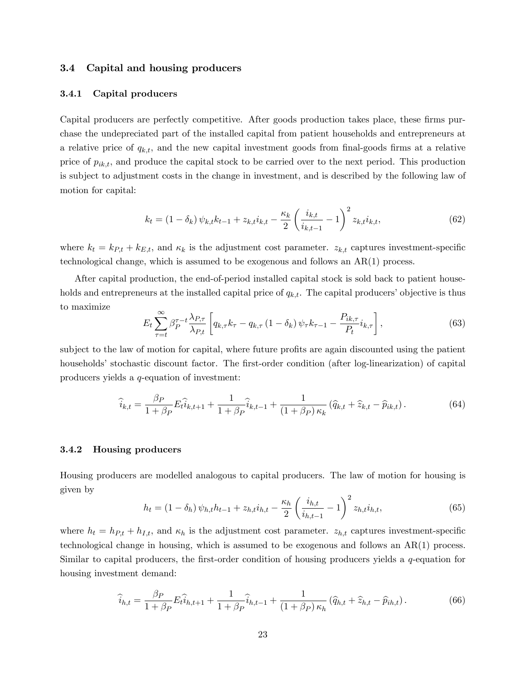#### 3.4 Capital and housing producers

#### 3.4.1 Capital producers

Capital producers are perfectly competitive. After goods production takes place, these firms purchase the undepreciated part of the installed capital from patient households and entrepreneurs at a relative price of  $q_{k,t}$ , and the new capital investment goods from final-goods firms at a relative price of  $p_{ik,t}$ , and produce the capital stock to be carried over to the next period. This production is subject to adjustment costs in the change in investment, and is described by the following law of motion for capital:

$$
k_t = (1 - \delta_k) \psi_{k,t} k_{t-1} + z_{k,t} i_{k,t} - \frac{\kappa_k}{2} \left( \frac{i_{k,t}}{i_{k,t-1}} - 1 \right)^2 z_{k,t} i_{k,t},
$$
(62)

where  $k_t = k_{P,t} + k_{E,t}$ , and  $\kappa_k$  is the adjustment cost parameter.  $z_{k,t}$  captures investment-specific technological change, which is assumed to be exogenous and follows an AR(1) process.

After capital production, the end-of-period installed capital stock is sold back to patient households and entrepreneurs at the installed capital price of  $q_{k,t}$ . The capital producers' objective is thus to maximize

$$
E_t \sum_{\tau=t}^{\infty} \beta_P^{\tau-t} \frac{\lambda_{P,\tau}}{\lambda_{P,t}} \left[ q_{k,\tau} k_{\tau} - q_{k,\tau} \left( 1 - \delta_k \right) \psi_{\tau} k_{\tau-1} - \frac{P_{ik,\tau}}{P_t} i_{k,\tau} \right], \tag{63}
$$

subject to the law of motion for capital, where future profits are again discounted using the patient households' stochastic discount factor. The first-order condition (after log-linearization) of capital producers yields a q-equation of investment:

$$
\widehat{i}_{k,t} = \frac{\beta_P}{1 + \beta_P} E_t \widehat{i}_{k,t+1} + \frac{1}{1 + \beta_P} \widehat{i}_{k,t-1} + \frac{1}{(1 + \beta_P) \kappa_k} (\widehat{q}_{k,t} + \widehat{z}_{k,t} - \widehat{p}_{ik,t}).
$$
\n(64)

#### 3.4.2 Housing producers

Housing producers are modelled analogous to capital producers. The law of motion for housing is given by

$$
h_t = (1 - \delta_h) \psi_{h,t} h_{t-1} + z_{h,t} i_{h,t} - \frac{\kappa_h}{2} \left( \frac{i_{h,t}}{i_{h,t-1}} - 1 \right)^2 z_{h,t} i_{h,t}, \tag{65}
$$

where  $h_t = h_{P,t} + h_{I,t}$ , and  $\kappa_h$  is the adjustment cost parameter.  $z_{h,t}$  captures investment-specific technological change in housing, which is assumed to be exogenous and follows an AR(1) process. Similar to capital producers, the first-order condition of housing producers yields a  $q$ -equation for housing investment demand:

$$
\widehat{i}_{h,t} = \frac{\beta_P}{1 + \beta_P} E_t \widehat{i}_{h,t+1} + \frac{1}{1 + \beta_P} \widehat{i}_{h,t-1} + \frac{1}{(1 + \beta_P) \kappa_h} (\widehat{q}_{h,t} + \widehat{z}_{h,t} - \widehat{p}_{ih,t}).
$$
\n(66)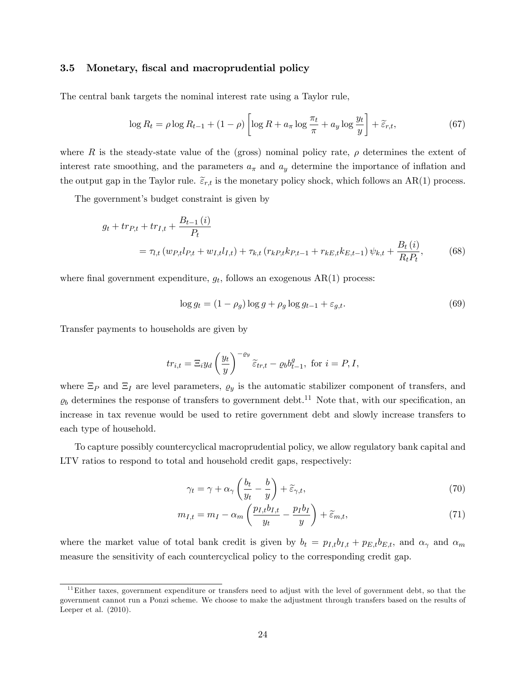#### 3.5 Monetary, fiscal and macroprudential policy

The central bank targets the nominal interest rate using a Taylor rule,

$$
\log R_t = \rho \log R_{t-1} + (1 - \rho) \left[ \log R + a_\pi \log \frac{\pi_t}{\pi} + a_y \log \frac{y_t}{y} \right] + \widetilde{\varepsilon}_{r,t},\tag{67}
$$

where R is the steady-state value of the (gross) nominal policy rate,  $\rho$  determines the extent of interest rate smoothing, and the parameters  $a_{\pi}$  and  $a_{y}$  determine the importance of inflation and the output gap in the Taylor rule.  $\tilde{\epsilon}_{r,t}$  is the monetary policy shock, which follows an AR(1) process.

The government's budget constraint is given by

$$
g_t + tr_{P,t} + tr_{I,t} + \frac{B_{t-1}(i)}{P_t}
$$
  
=  $\tau_{l,t} (w_{P,t}l_{P,t} + w_{I,t}l_{I,t}) + \tau_{k,t} (r_{kP,t}k_{P,t-1} + r_{kE,t}k_{E,t-1}) \psi_{k,t} + \frac{B_t(i)}{R_t P_t},$  (68)

where final government expenditure,  $g_t$ , follows an exogenous  $AR(1)$  process:

$$
\log g_t = (1 - \rho_g) \log g + \rho_g \log g_{t-1} + \varepsilon_{g,t}.
$$
\n(69)

Transfer payments to households are given by

$$
tr_{i,t} = \Xi_i y_d \left(\frac{y_t}{y}\right)^{-\varrho_y} \widetilde{\varepsilon}_{tr,t} - \varrho_b b_{t-1}^g, \text{ for } i = P, I,
$$

where  $\Xi_P$  and  $\Xi_I$  are level parameters,  $\varrho_y$  is the automatic stabilizer component of transfers, and  $\varrho_b$  determines the response of transfers to government debt.<sup>11</sup> Note that, with our specification, an increase in tax revenue would be used to retire government debt and slowly increase transfers to each type of household.

To capture possibly countercyclical macroprudential policy, we allow regulatory bank capital and LTV ratios to respond to total and household credit gaps, respectively:

$$
\gamma_t = \gamma + \alpha_\gamma \left(\frac{b_t}{y_t} - \frac{b}{y}\right) + \widetilde{\varepsilon}_{\gamma, t},\tag{70}
$$

$$
m_{I,t} = m_I - \alpha_m \left( \frac{p_{I,t} b_{I,t}}{y_t} - \frac{p_I b_I}{y} \right) + \widetilde{\varepsilon}_{m,t},\tag{71}
$$

where the market value of total bank credit is given by  $b_t = p_{I,t}b_{I,t} + p_{E,t}b_{E,t}$ , and  $\alpha_{\gamma}$  and  $\alpha_m$ measure the sensitivity of each countercyclical policy to the corresponding credit gap.

 $11$ Either taxes, government expenditure or transfers need to adjust with the level of government debt, so that the government cannot run a Ponzi scheme. We choose to make the adjustment through transfers based on the results of Leeper et al. (2010).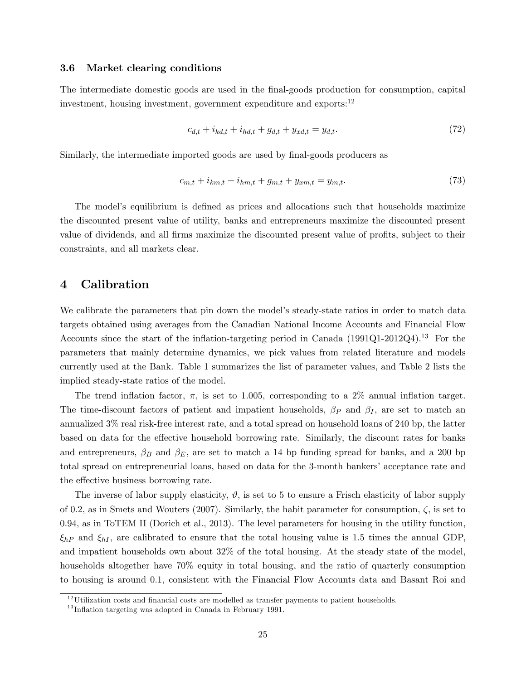#### 3.6 Market clearing conditions

The intermediate domestic goods are used in the final-goods production for consumption, capital investment, housing investment, government expenditure and exports:<sup>12</sup>

$$
c_{d,t} + i_{kd,t} + i_{hd,t} + g_{d,t} + y_{xd,t} = y_{d,t}.
$$
\n(72)

Similarly, the intermediate imported goods are used by final-goods producers as

$$
c_{m,t} + i_{km,t} + i_{hm,t} + g_{m,t} + y_{xm,t} = y_{m,t}.\tag{73}
$$

The model's equilibrium is defined as prices and allocations such that households maximize the discounted present value of utility, banks and entrepreneurs maximize the discounted present value of dividends, and all firms maximize the discounted present value of profits, subject to their constraints, and all markets clear.

### 4 Calibration

We calibrate the parameters that pin down the model's steady-state ratios in order to match data targets obtained using averages from the Canadian National Income Accounts and Financial Flow Accounts since the start of the inflation-targeting period in Canada  $(1991Q1-2012Q4).<sup>13</sup>$  For the parameters that mainly determine dynamics, we pick values from related literature and models currently used at the Bank. Table 1 summarizes the list of parameter values, and Table 2 lists the implied steady-state ratios of the model.

The trend inflation factor,  $\pi$ , is set to 1.005, corresponding to a 2% annual inflation target. The time-discount factors of patient and impatient households,  $\beta_P$  and  $\beta_I$ , are set to match an annualized 3% real risk-free interest rate, and a total spread on household loans of 240 bp, the latter based on data for the effective household borrowing rate. Similarly, the discount rates for banks and entrepreneurs,  $\beta_B$  and  $\beta_E$ , are set to match a 14 bp funding spread for banks, and a 200 bp total spread on entrepreneurial loans, based on data for the 3-month bankers' acceptance rate and the effective business borrowing rate.

The inverse of labor supply elasticity,  $\vartheta$ , is set to 5 to ensure a Frisch elasticity of labor supply of 0.2, as in Smets and Wouters (2007). Similarly, the habit parameter for consumption,  $\zeta$ , is set to 0.94, as in ToTEM II (Dorich et al., 2013). The level parameters for housing in the utility function,  $\xi_{hP}$  and  $\xi_{hI}$ , are calibrated to ensure that the total housing value is 1.5 times the annual GDP, and impatient households own about 32% of the total housing. At the steady state of the model, households altogether have 70% equity in total housing, and the ratio of quarterly consumption to housing is around 0.1, consistent with the Financial Flow Accounts data and Basant Roi and

 $12$ Utilization costs and financial costs are modelled as transfer payments to patient households.

 $13$ Inflation targeting was adopted in Canada in February 1991.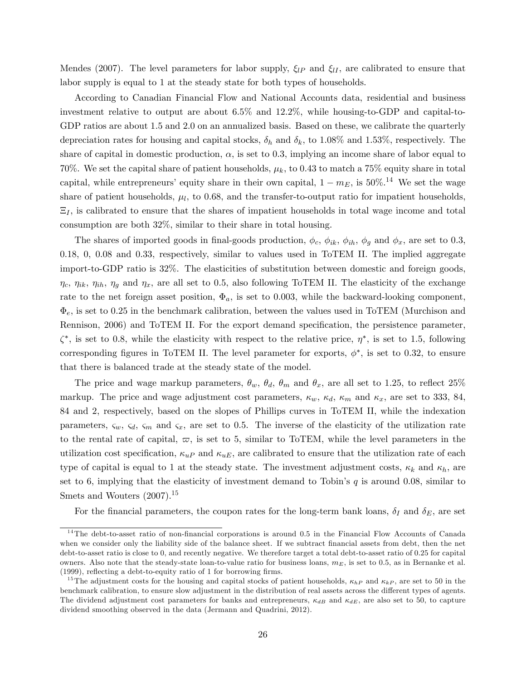Mendes (2007). The level parameters for labor supply,  $\xi_{IP}$  and  $\xi_{II}$ , are calibrated to ensure that labor supply is equal to 1 at the steady state for both types of households.

According to Canadian Financial Flow and National Accounts data, residential and business investment relative to output are about 6.5% and 12.2%, while housing-to-GDP and capital-to-GDP ratios are about 1.5 and 2.0 on an annualized basis. Based on these, we calibrate the quarterly depreciation rates for housing and capital stocks,  $\delta_h$  and  $\delta_k$ , to 1.08% and 1.53%, respectively. The share of capital in domestic production,  $\alpha$ , is set to 0.3, implying an income share of labor equal to 70%. We set the capital share of patient households,  $\mu_k$ , to 0.43 to match a 75% equity share in total capital, while entrepreneurs' equity share in their own capital,  $1 - m_E$ , is 50%.<sup>14</sup> We set the wage share of patient households,  $\mu_l$ , to 0.68, and the transfer-to-output ratio for impatient households,  $\Xi_I$ , is calibrated to ensure that the shares of impatient households in total wage income and total consumption are both 32%, similar to their share in total housing.

The shares of imported goods in final-goods production,  $\phi_c$ ,  $\phi_{ik}$ ,  $\phi_{ih}$ ,  $\phi_q$  and  $\phi_x$ , are set to 0.3, 0.18, 0, 0.08 and 0.33, respectively, similar to values used in ToTEM II. The implied aggregate import-to-GDP ratio is 32%. The elasticities of substitution between domestic and foreign goods,  $\eta_c$ ,  $\eta_{ik}$ ,  $\eta_{ih}$ ,  $\eta_g$  and  $\eta_x$ , are all set to 0.5, also following ToTEM II. The elasticity of the exchange rate to the net foreign asset position,  $\Phi_a$ , is set to 0.003, while the backward-looking component,  $\Phi_e$ , is set to 0.25 in the benchmark calibration, between the values used in ToTEM (Murchison and Rennison, 2006) and ToTEM II. For the export demand specification, the persistence parameter,  $\zeta^*$ , is set to 0.8, while the elasticity with respect to the relative price,  $\eta^*$ , is set to 1.5, following corresponding figures in ToTEM II. The level parameter for exports,  $\phi^*$ , is set to 0.32, to ensure that there is balanced trade at the steady state of the model.

The price and wage markup parameters,  $\theta_w$ ,  $\theta_d$ ,  $\theta_m$  and  $\theta_x$ , are all set to 1.25, to reflect 25% markup. The price and wage adjustment cost parameters,  $\kappa_w$ ,  $\kappa_d$ ,  $\kappa_m$  and  $\kappa_x$ , are set to 333, 84, 84 and 2, respectively, based on the slopes of Phillips curves in ToTEM II, while the indexation parameters,  $\zeta_w$ ,  $\zeta_d$ ,  $\zeta_m$  and  $\zeta_x$ , are set to 0.5. The inverse of the elasticity of the utilization rate to the rental rate of capital,  $\varpi$ , is set to 5, similar to ToTEM, while the level parameters in the utilization cost specification,  $\kappa_{u}$  and  $\kappa_{u}$ , are calibrated to ensure that the utilization rate of each type of capital is equal to 1 at the steady state. The investment adjustment costs,  $\kappa_k$  and  $\kappa_h$ , are set to 6, implying that the elasticity of investment demand to Tobin's  $q$  is around 0.08, similar to Smets and Wouters  $(2007).^{15}$ 

For the financial parameters, the coupon rates for the long-term bank loans,  $\delta_I$  and  $\delta_E$ , are set

<sup>&</sup>lt;sup>14</sup>The debt-to-asset ratio of non-financial corporations is around 0.5 in the Financial Flow Accounts of Canada when we consider only the liability side of the balance sheet. If we subtract financial assets from debt, then the net debt-to-asset ratio is close to 0, and recently negative. We therefore target a total debt-to-asset ratio of 0.25 for capital owners. Also note that the steady-state loan-to-value ratio for business loans,  $m_E$ , is set to 0.5, as in Bernanke et al.  $(1999)$ , reflecting a debt-to-equity ratio of 1 for borrowing firms.

<sup>&</sup>lt;sup>15</sup>The adjustment costs for the housing and capital stocks of patient households,  $\kappa_{hP}$  and  $\kappa_{kP}$ , are set to 50 in the benchmark calibration, to ensure slow adjustment in the distribution of real assets across the different types of agents. The dividend adjustment cost parameters for banks and entrepreneurs,  $\kappa_{dB}$  and  $\kappa_{dE}$ , are also set to 50, to capture dividend smoothing observed in the data (Jermann and Quadrini, 2012).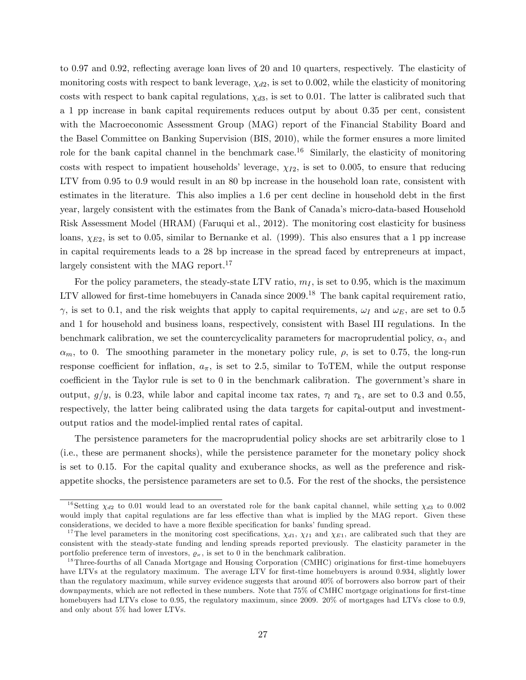to 0.97 and 0.92, reflecting average loan lives of 20 and 10 quarters, respectively. The elasticity of monitoring costs with respect to bank leverage,  $\chi_{d2}$ , is set to 0.002, while the elasticity of monitoring costs with respect to bank capital regulations,  $\chi_{d3}$ , is set to 0.01. The latter is calibrated such that a 1 pp increase in bank capital requirements reduces output by about 0.35 per cent, consistent with the Macroeconomic Assessment Group (MAG) report of the Financial Stability Board and the Basel Committee on Banking Supervision (BIS, 2010), while the former ensures a more limited role for the bank capital channel in the benchmark case.<sup>16</sup> Similarly, the elasticity of monitoring costs with respect to impatient households' leverage,  $\chi_{I2}$ , is set to 0.005, to ensure that reducing LTV from 0.95 to 0.9 would result in an 80 bp increase in the household loan rate, consistent with estimates in the literature. This also implies a 1.6 per cent decline in household debt in the first year, largely consistent with the estimates from the Bank of Canadaís micro-data-based Household Risk Assessment Model (HRAM) (Faruqui et al., 2012). The monitoring cost elasticity for business loans,  $\chi_{E2}$ , is set to 0.05, similar to Bernanke et al. (1999). This also ensures that a 1 pp increase in capital requirements leads to a 28 bp increase in the spread faced by entrepreneurs at impact, largely consistent with the MAG report.<sup>17</sup>

For the policy parameters, the steady-state LTV ratio,  $m<sub>I</sub>$ , is set to 0.95, which is the maximum LTV allowed for first-time homebuyers in Canada since  $2009$ .<sup>18</sup> The bank capital requirement ratio,  $\gamma$ , is set to 0.1, and the risk weights that apply to capital requirements,  $\omega_I$  and  $\omega_E$ , are set to 0.5 and 1 for household and business loans, respectively, consistent with Basel III regulations. In the benchmark calibration, we set the countercyclicality parameters for macroprudential policy,  $\alpha_{\gamma}$  and  $\alpha_m$ , to 0. The smoothing parameter in the monetary policy rule,  $\rho$ , is set to 0.75, the long-run response coefficient for inflation,  $a_{\pi}$ , is set to 2.5, similar to ToTEM, while the output response coefficient in the Taylor rule is set to  $0$  in the benchmark calibration. The government's share in output,  $g/y$ , is 0.23, while labor and capital income tax rates,  $\tau_l$  and  $\tau_k$ , are set to 0.3 and 0.55, respectively, the latter being calibrated using the data targets for capital-output and investmentoutput ratios and the model-implied rental rates of capital.

The persistence parameters for the macroprudential policy shocks are set arbitrarily close to 1 (i.e., these are permanent shocks), while the persistence parameter for the monetary policy shock is set to 0.15. For the capital quality and exuberance shocks, as well as the preference and riskappetite shocks, the persistence parameters are set to 0.5. For the rest of the shocks, the persistence

<sup>&</sup>lt;sup>16</sup>Setting  $\chi_{d2}$  to 0.01 would lead to an overstated role for the bank capital channel, while setting  $\chi_{d3}$  to 0.002 would imply that capital regulations are far less effective than what is implied by the MAG report. Given these considerations, we decided to have a more flexible specification for banks' funding spread.

<sup>&</sup>lt;sup>17</sup>The level parameters in the monitoring cost specifications,  $\chi_{d1}$ ,  $\chi_{I1}$  and  $\chi_{E1}$ , are calibrated such that they are consistent with the steady-state funding and lending spreads reported previously. The elasticity parameter in the portfolio preference term of investors,  $\varrho_{\varkappa}$ , is set to 0 in the benchmark calibration.

<sup>&</sup>lt;sup>18</sup>Three-fourths of all Canada Mortgage and Housing Corporation (CMHC) originations for first-time homebuyers have LTVs at the regulatory maximum. The average LTV for first-time homebuyers is around 0.934, slightly lower than the regulatory maximum, while survey evidence suggests that around 40% of borrowers also borrow part of their downpayments, which are not reflected in these numbers. Note that 75% of CMHC mortgage originations for first-time homebuyers had LTVs close to 0.95, the regulatory maximum, since 2009. 20% of mortgages had LTVs close to 0.9, and only about 5% had lower LTVs.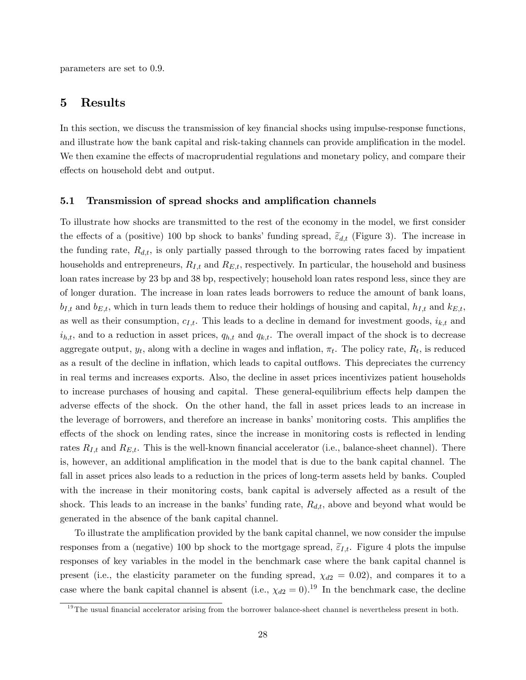parameters are set to 0.9.

## 5 Results

In this section, we discuss the transmission of key financial shocks using impulse-response functions, and illustrate how the bank capital and risk-taking channels can provide amplification in the model. We then examine the effects of macroprudential regulations and monetary policy, and compare their effects on household debt and output.

#### 5.1 Transmission of spread shocks and amplification channels

To illustrate how shocks are transmitted to the rest of the economy in the model, we first consider the effects of a (positive) 100 bp shock to banks' funding spread,  $\tilde{\epsilon}_{d,t}$  (Figure 3). The increase in the funding rate,  $R_{d,t}$ , is only partially passed through to the borrowing rates faced by impatient households and entrepreneurs,  $R_{I,t}$  and  $R_{E,t}$ , respectively. In particular, the household and business loan rates increase by 23 bp and 38 bp, respectively; household loan rates respond less, since they are of longer duration. The increase in loan rates leads borrowers to reduce the amount of bank loans,  $b_{I,t}$  and  $b_{E,t}$ , which in turn leads them to reduce their holdings of housing and capital,  $h_{I,t}$  and  $k_{E,t}$ , as well as their consumption,  $c_{I,t}$ . This leads to a decline in demand for investment goods,  $i_{k,t}$  and  $i_{h,t}$ , and to a reduction in asset prices,  $q_{h,t}$  and  $q_{k,t}$ . The overall impact of the shock is to decrease aggregate output,  $y_t$ , along with a decline in wages and inflation,  $\pi_t$ . The policy rate,  $R_t$ , is reduced as a result of the decline in inflation, which leads to capital outflows. This depreciates the currency in real terms and increases exports. Also, the decline in asset prices incentivizes patient households to increase purchases of housing and capital. These general-equilibrium effects help dampen the adverse effects of the shock. On the other hand, the fall in asset prices leads to an increase in the leverage of borrowers, and therefore an increase in banks' monitoring costs. This amplifies the effects of the shock on lending rates, since the increase in monitoring costs is reflected in lending rates  $R_{I,t}$  and  $R_{E,t}$ . This is the well-known financial accelerator (i.e., balance-sheet channel). There is, however, an additional amplification in the model that is due to the bank capital channel. The fall in asset prices also leads to a reduction in the prices of long-term assets held by banks. Coupled with the increase in their monitoring costs, bank capital is adversely affected as a result of the shock. This leads to an increase in the banks' funding rate,  $R_{d,t}$ , above and beyond what would be generated in the absence of the bank capital channel.

To illustrate the amplification provided by the bank capital channel, we now consider the impulse responses from a (negative) 100 bp shock to the mortgage spread,  $\tilde{\varepsilon}_{I,t}$ . Figure 4 plots the impulse responses of key variables in the model in the benchmark case where the bank capital channel is present (i.e., the elasticity parameter on the funding spread,  $\chi_{d2} = 0.02$ ), and compares it to a case where the bank capital channel is absent (i.e.,  $\chi_{d2} = 0$ ).<sup>19</sup> In the benchmark case, the decline

 $19$ The usual financial accelerator arising from the borrower balance-sheet channel is nevertheless present in both.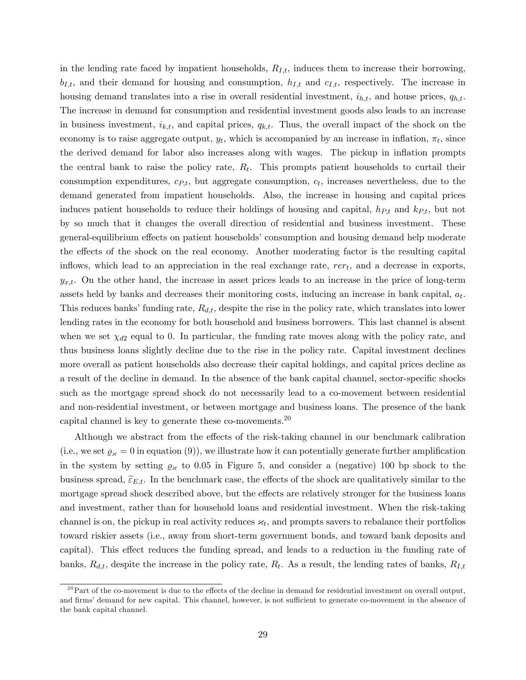in the lending rate faced by impatient households,  $R_{I,t}$ , induces them to increase their borrowing,  $b_{I,t}$ , and their demand for housing and consumption,  $h_{I,t}$  and  $c_{I,t}$ , respectively. The increase in housing demand translates into a rise in overall residential investment,  $i_{h,t}$ , and house prices,  $q_{h,t}$ . The increase in demand for consumption and residential investment goods also leads to an increase in business investment,  $i_{k,t}$ , and capital prices,  $q_{k,t}$ . Thus, the overall impact of the shock on the economy is to raise aggregate output,  $y_t$ , which is accompanied by an increase in inflation,  $\pi_t$ , since the derived demand for labor also increases along with wages. The pickup in ináation prompts the central bank to raise the policy rate,  $R_t$ . This prompts patient households to curtail their consumption expenditures,  $c_{P,t}$ , but aggregate consumption,  $c_t$ , increases nevertheless, due to the demand generated from impatient households. Also, the increase in housing and capital prices induces patient households to reduce their holdings of housing and capital,  $h_{Pt}$  and  $k_{Pt}$ , but not by so much that it changes the overall direction of residential and business investment. These general-equilibrium effects on patient households' consumption and housing demand help moderate the effects of the shock on the real economy. Another moderating factor is the resulting capital inflows, which lead to an appreciation in the real exchange rate,  $rer_t$ , and a decrease in exports,  $y_{x,t}$ . On the other hand, the increase in asset prices leads to an increase in the price of long-term assets held by banks and decreases their monitoring costs, inducing an increase in bank capital,  $a_t$ . This reduces banks' funding rate,  $R_{d,t}$ , despite the rise in the policy rate, which translates into lower lending rates in the economy for both household and business borrowers. This last channel is absent when we set  $\chi_{d2}$  equal to 0. In particular, the funding rate moves along with the policy rate, and thus business loans slightly decline due to the rise in the policy rate. Capital investment declines more overall as patient households also decrease their capital holdings, and capital prices decline as a result of the decline in demand. In the absence of the bank capital channel, sector-specific shocks such as the mortgage spread shock do not necessarily lead to a co-movement between residential and non-residential investment, or between mortgage and business loans. The presence of the bank capital channel is key to generate these co-movements.<sup>20</sup>

Although we abstract from the effects of the risk-taking channel in our benchmark calibration (i.e., we set  $\varrho_{\varkappa} = 0$  in equation (9)), we illustrate how it can potentially generate further amplification in the system by setting  $\varrho_{\varkappa}$  to 0.05 in Figure 5, and consider a (negative) 100 bp shock to the business spread,  $\tilde{\epsilon}_{E,t}$ . In the benchmark case, the effects of the shock are qualitatively similar to the mortgage spread shock described above, but the effects are relatively stronger for the business loans and investment, rather than for household loans and residential investment. When the risk-taking channel is on, the pickup in real activity reduces  $\varkappa_t$ , and prompts savers to rebalance their portfolios toward riskier assets (i.e., away from short-term government bonds, and toward bank deposits and capital). This effect reduces the funding spread, and leads to a reduction in the funding rate of banks,  $R_{d,t}$ , despite the increase in the policy rate,  $R_t$ . As a result, the lending rates of banks,  $R_{I,t}$ 

 $^{20}$ Part of the co-movement is due to the effects of the decline in demand for residential investment on overall output, and firms' demand for new capital. This channel, however, is not sufficient to generate co-movement in the absence of the bank capital channel.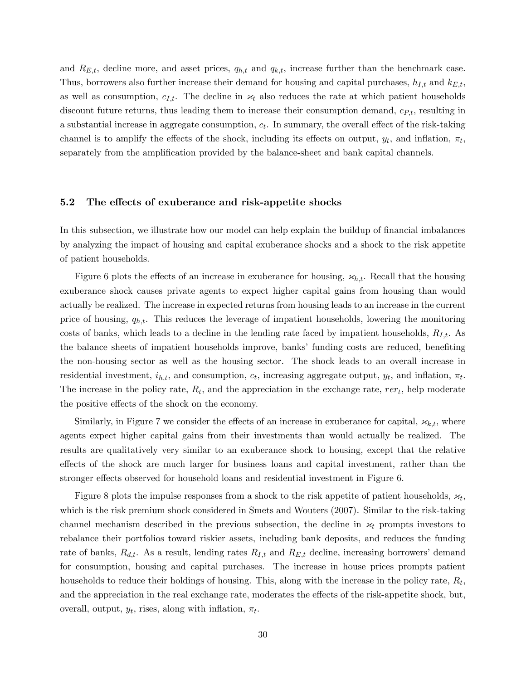and  $R_{E,t}$ , decline more, and asset prices,  $q_{h,t}$  and  $q_{k,t}$ , increase further than the benchmark case. Thus, borrowers also further increase their demand for housing and capital purchases,  $h_{I,t}$  and  $k_{E,t}$ , as well as consumption,  $c_{I,t}$ . The decline in  $\varkappa_t$  also reduces the rate at which patient households discount future returns, thus leading them to increase their consumption demand,  $c_{P,t}$ , resulting in a substantial increase in aggregate consumption,  $c_t$ . In summary, the overall effect of the risk-taking channel is to amplify the effects of the shock, including its effects on output,  $y_t$ , and inflation,  $\pi_t$ , separately from the amplification provided by the balance-sheet and bank capital channels.

#### 5.2 The effects of exuberance and risk-appetite shocks

In this subsection, we illustrate how our model can help explain the buildup of financial imbalances by analyzing the impact of housing and capital exuberance shocks and a shock to the risk appetite of patient households.

Figure 6 plots the effects of an increase in exuberance for housing,  $x_{h,t}$ . Recall that the housing exuberance shock causes private agents to expect higher capital gains from housing than would actually be realized. The increase in expected returns from housing leads to an increase in the current price of housing,  $q_{h,t}$ . This reduces the leverage of impatient households, lowering the monitoring costs of banks, which leads to a decline in the lending rate faced by impatient households,  $R_{I,t}$ . As the balance sheets of impatient households improve, banks' funding costs are reduced, benefiting the non-housing sector as well as the housing sector. The shock leads to an overall increase in residential investment,  $i_{h,t}$ , and consumption,  $c_t$ , increasing aggregate output,  $y_t$ , and inflation,  $\pi_t$ . The increase in the policy rate,  $R_t$ , and the appreciation in the exchange rate,  $rer_t$ , help moderate the positive effects of the shock on the economy.

Similarly, in Figure 7 we consider the effects of an increase in exuberance for capital,  $x_{k,t}$ , where agents expect higher capital gains from their investments than would actually be realized. The results are qualitatively very similar to an exuberance shock to housing, except that the relative effects of the shock are much larger for business loans and capital investment, rather than the stronger effects observed for household loans and residential investment in Figure 6.

Figure 8 plots the impulse responses from a shock to the risk appetite of patient households,  $\varkappa_t$ , which is the risk premium shock considered in Smets and Wouters (2007). Similar to the risk-taking channel mechanism described in the previous subsection, the decline in  $\varkappa_t$  prompts investors to rebalance their portfolios toward riskier assets, including bank deposits, and reduces the funding rate of banks,  $R_{d,t}$ . As a result, lending rates  $R_{I,t}$  and  $R_{E,t}$  decline, increasing borrowers' demand for consumption, housing and capital purchases. The increase in house prices prompts patient households to reduce their holdings of housing. This, along with the increase in the policy rate,  $R_t$ , and the appreciation in the real exchange rate, moderates the effects of the risk-appetite shock, but, overall, output,  $y_t$ , rises, along with inflation,  $\pi_t$ .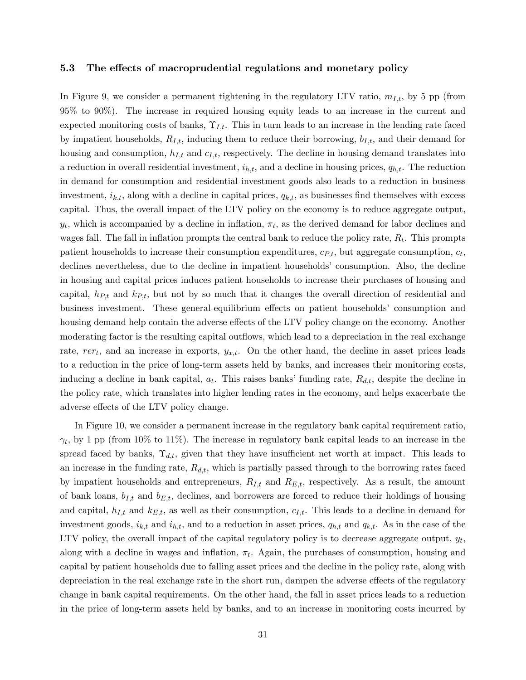#### 5.3 The effects of macroprudential regulations and monetary policy

In Figure 9, we consider a permanent tightening in the regulatory LTV ratio,  $m_{I,t}$ , by 5 pp (from 95% to 90%). The increase in required housing equity leads to an increase in the current and expected monitoring costs of banks,  $\Upsilon_{I,t}$ . This in turn leads to an increase in the lending rate faced by impatient households,  $R_{I,t}$ , inducing them to reduce their borrowing,  $b_{I,t}$ , and their demand for housing and consumption,  $h_{I,t}$  and  $c_{I,t}$ , respectively. The decline in housing demand translates into a reduction in overall residential investment,  $i_{h,t}$ , and a decline in housing prices,  $q_{h,t}$ . The reduction in demand for consumption and residential investment goods also leads to a reduction in business investment,  $i_{k,t}$ , along with a decline in capital prices,  $q_{k,t}$ , as businesses find themselves with excess capital. Thus, the overall impact of the LTV policy on the economy is to reduce aggregate output,  $y_t$ , which is accompanied by a decline in inflation,  $\pi_t$ , as the derived demand for labor declines and wages fall. The fall in inflation prompts the central bank to reduce the policy rate,  $R_t$ . This prompts patient households to increase their consumption expenditures,  $c_{P,t}$ , but aggregate consumption,  $c_t$ , declines nevertheless, due to the decline in impatient households' consumption. Also, the decline in housing and capital prices induces patient households to increase their purchases of housing and capital,  $h_{P,t}$  and  $k_{P,t}$ , but not by so much that it changes the overall direction of residential and business investment. These general-equilibrium effects on patient households consumption and housing demand help contain the adverse effects of the LTV policy change on the economy. Another moderating factor is the resulting capital outflows, which lead to a depreciation in the real exchange rate,  $rer_t$ , and an increase in exports,  $y_{x,t}$ . On the other hand, the decline in asset prices leads to a reduction in the price of long-term assets held by banks, and increases their monitoring costs, inducing a decline in bank capital,  $a_t$ . This raises banks' funding rate,  $R_{d,t}$ , despite the decline in the policy rate, which translates into higher lending rates in the economy, and helps exacerbate the adverse effects of the LTV policy change.

In Figure 10, we consider a permanent increase in the regulatory bank capital requirement ratio,  $\gamma_t$ , by 1 pp (from 10% to 11%). The increase in regulatory bank capital leads to an increase in the spread faced by banks,  $\Upsilon_{d,t}$ , given that they have insufficient net worth at impact. This leads to an increase in the funding rate,  $R_{d,t}$ , which is partially passed through to the borrowing rates faced by impatient households and entrepreneurs,  $R_{I,t}$  and  $R_{E,t}$ , respectively. As a result, the amount of bank loans,  $b_{I,t}$  and  $b_{E,t}$ , declines, and borrowers are forced to reduce their holdings of housing and capital,  $h_{I,t}$  and  $k_{E,t}$ , as well as their consumption,  $c_{I,t}$ . This leads to a decline in demand for investment goods,  $i_{k,t}$  and  $i_{h,t}$ , and to a reduction in asset prices,  $q_{h,t}$  and  $q_{k,t}$ . As in the case of the LTV policy, the overall impact of the capital regulatory policy is to decrease aggregate output,  $y_t$ , along with a decline in wages and inflation,  $\pi_t$ . Again, the purchases of consumption, housing and capital by patient households due to falling asset prices and the decline in the policy rate, along with depreciation in the real exchange rate in the short run, dampen the adverse effects of the regulatory change in bank capital requirements. On the other hand, the fall in asset prices leads to a reduction in the price of long-term assets held by banks, and to an increase in monitoring costs incurred by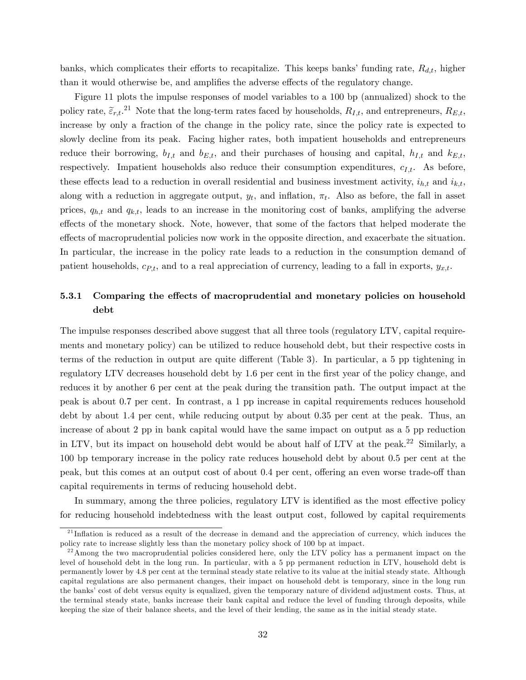banks, which complicates their efforts to recapitalize. This keeps banks' funding rate,  $R_{d,t}$ , higher than it would otherwise be, and amplifies the adverse effects of the regulatory change.

Figure 11 plots the impulse responses of model variables to a 100 bp (annualized) shock to the policy rate,  $\tilde{\varepsilon}_{r,t}$ .<sup>21</sup> Note that the long-term rates faced by households,  $R_{I,t}$ , and entrepreneurs,  $R_{E,t}$ , increase by only a fraction of the change in the policy rate, since the policy rate is expected to slowly decline from its peak. Facing higher rates, both impatient households and entrepreneurs reduce their borrowing,  $b_{I,t}$  and  $b_{E,t}$ , and their purchases of housing and capital,  $h_{I,t}$  and  $k_{E,t}$ , respectively. Impatient households also reduce their consumption expenditures,  $c_{I,t}$ . As before, these effects lead to a reduction in overall residential and business investment activity,  $i_{h,t}$  and  $i_{k,t}$ , along with a reduction in aggregate output,  $y_t$ , and inflation,  $\pi_t$ . Also as before, the fall in asset prices,  $q_{h,t}$  and  $q_{k,t}$ , leads to an increase in the monitoring cost of banks, amplifying the adverse effects of the monetary shock. Note, however, that some of the factors that helped moderate the effects of macroprudential policies now work in the opposite direction, and exacerbate the situation. In particular, the increase in the policy rate leads to a reduction in the consumption demand of patient households,  $c_{P,t}$ , and to a real appreciation of currency, leading to a fall in exports,  $y_{x,t}$ .

## 5.3.1 Comparing the effects of macroprudential and monetary policies on household debt

The impulse responses described above suggest that all three tools (regulatory LTV, capital requirements and monetary policy) can be utilized to reduce household debt, but their respective costs in terms of the reduction in output are quite different (Table 3). In particular, a 5 pp tightening in regulatory LTV decreases household debt by 1.6 per cent in the first year of the policy change, and reduces it by another 6 per cent at the peak during the transition path. The output impact at the peak is about 0.7 per cent. In contrast, a 1 pp increase in capital requirements reduces household debt by about 1.4 per cent, while reducing output by about 0.35 per cent at the peak. Thus, an increase of about 2 pp in bank capital would have the same impact on output as a 5 pp reduction in LTV, but its impact on household debt would be about half of LTV at the peak.<sup>22</sup> Similarly, a 100 bp temporary increase in the policy rate reduces household debt by about 0.5 per cent at the peak, but this comes at an output cost of about 0.4 per cent, offering an even worse trade-off than capital requirements in terms of reducing household debt.

In summary, among the three policies, regulatory LTV is identified as the most effective policy for reducing household indebtedness with the least output cost, followed by capital requirements

 $21$ Inflation is reduced as a result of the decrease in demand and the appreciation of currency, which induces the policy rate to increase slightly less than the monetary policy shock of 100 bp at impact.

 $22$ Among the two macroprudential policies considered here, only the LTV policy has a permanent impact on the level of household debt in the long run. In particular, with a 5 pp permanent reduction in LTV, household debt is permanently lower by 4.8 per cent at the terminal steady state relative to its value at the initial steady state. Although capital regulations are also permanent changes, their impact on household debt is temporary, since in the long run the banks' cost of debt versus equity is equalized, given the temporary nature of dividend adjustment costs. Thus, at the terminal steady state, banks increase their bank capital and reduce the level of funding through deposits, while keeping the size of their balance sheets, and the level of their lending, the same as in the initial steady state.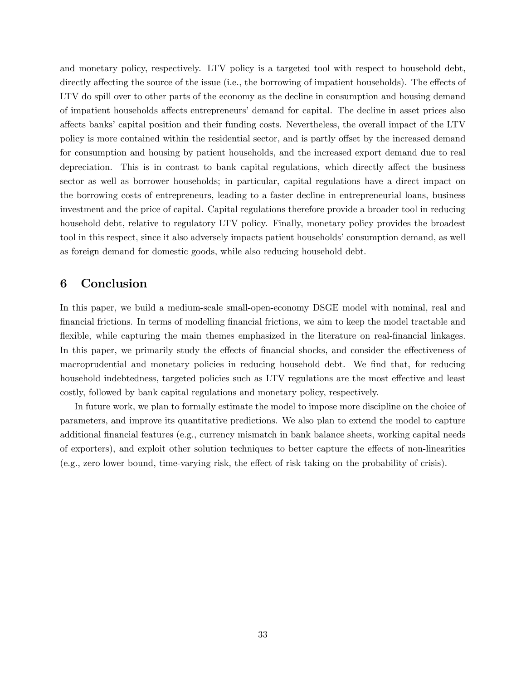and monetary policy, respectively. LTV policy is a targeted tool with respect to household debt, directly affecting the source of the issue (i.e., the borrowing of impatient households). The effects of LTV do spill over to other parts of the economy as the decline in consumption and housing demand of impatient households affects entrepreneurs' demand for capital. The decline in asset prices also affects banks' capital position and their funding costs. Nevertheless, the overall impact of the LTV policy is more contained within the residential sector, and is partly offset by the increased demand for consumption and housing by patient households, and the increased export demand due to real depreciation. This is in contrast to bank capital regulations, which directly affect the business sector as well as borrower households; in particular, capital regulations have a direct impact on the borrowing costs of entrepreneurs, leading to a faster decline in entrepreneurial loans, business investment and the price of capital. Capital regulations therefore provide a broader tool in reducing household debt, relative to regulatory LTV policy. Finally, monetary policy provides the broadest tool in this respect, since it also adversely impacts patient households' consumption demand, as well as foreign demand for domestic goods, while also reducing household debt.

## 6 Conclusion

In this paper, we build a medium-scale small-open-economy DSGE model with nominal, real and Önancial frictions. In terms of modelling Önancial frictions, we aim to keep the model tractable and flexible, while capturing the main themes emphasized in the literature on real-financial linkages. In this paper, we primarily study the effects of financial shocks, and consider the effectiveness of macroprudential and monetary policies in reducing household debt. We find that, for reducing household indebtedness, targeted policies such as LTV regulations are the most effective and least costly, followed by bank capital regulations and monetary policy, respectively.

In future work, we plan to formally estimate the model to impose more discipline on the choice of parameters, and improve its quantitative predictions. We also plan to extend the model to capture additional financial features (e.g., currency mismatch in bank balance sheets, working capital needs of exporters), and exploit other solution techniques to better capture the effects of non-linearities  $(e.g., zero lower bound, time-varying risk, the effect of risk taking on the probability of crisis).$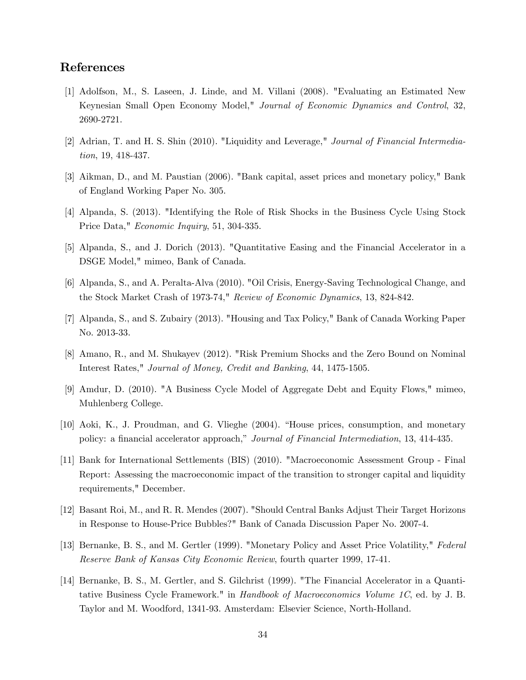## References

- [1] Adolfson, M., S. Laseen, J. Linde, and M. Villani (2008). "Evaluating an Estimated New Keynesian Small Open Economy Model," Journal of Economic Dynamics and Control, 32, 2690-2721.
- [2] Adrian, T. and H. S. Shin (2010). "Liquidity and Leverage," Journal of Financial Intermediation, 19, 418-437.
- [3] Aikman, D., and M. Paustian (2006). "Bank capital, asset prices and monetary policy," Bank of England Working Paper No. 305.
- [4] Alpanda, S. (2013). "Identifying the Role of Risk Shocks in the Business Cycle Using Stock Price Data," *Economic Inquiry*, 51, 304-335.
- [5] Alpanda, S., and J. Dorich (2013). "Quantitative Easing and the Financial Accelerator in a DSGE Model," mimeo, Bank of Canada.
- [6] Alpanda, S., and A. Peralta-Alva (2010). "Oil Crisis, Energy-Saving Technological Change, and the Stock Market Crash of 1973-74," Review of Economic Dynamics, 13, 824-842.
- [7] Alpanda, S., and S. Zubairy (2013). "Housing and Tax Policy," Bank of Canada Working Paper No. 2013-33.
- [8] Amano, R., and M. Shukayev (2012). "Risk Premium Shocks and the Zero Bound on Nominal Interest Rates," Journal of Money, Credit and Banking, 44, 1475-1505.
- [9] Amdur, D. (2010). "A Business Cycle Model of Aggregate Debt and Equity Flows," mimeo, Muhlenberg College.
- [10] Aoki, K., J. Proudman, and G. Vlieghe (2004). "House prices, consumption, and monetary policy: a financial accelerator approach," Journal of Financial Intermediation, 13, 414-435.
- [11] Bank for International Settlements (BIS) (2010). "Macroeconomic Assessment Group Final Report: Assessing the macroeconomic impact of the transition to stronger capital and liquidity requirements," December.
- [12] Basant Roi, M., and R. R. Mendes (2007). "Should Central Banks Adjust Their Target Horizons in Response to House-Price Bubbles?" Bank of Canada Discussion Paper No. 2007-4.
- [13] Bernanke, B. S., and M. Gertler (1999). "Monetary Policy and Asset Price Volatility," Federal Reserve Bank of Kansas City Economic Review, fourth quarter 1999, 17-41.
- [14] Bernanke, B. S., M. Gertler, and S. Gilchrist (1999). "The Financial Accelerator in a Quantitative Business Cycle Framework." in Handbook of Macroeconomics Volume 1C, ed. by J. B. Taylor and M. Woodford, 1341-93. Amsterdam: Elsevier Science, North-Holland.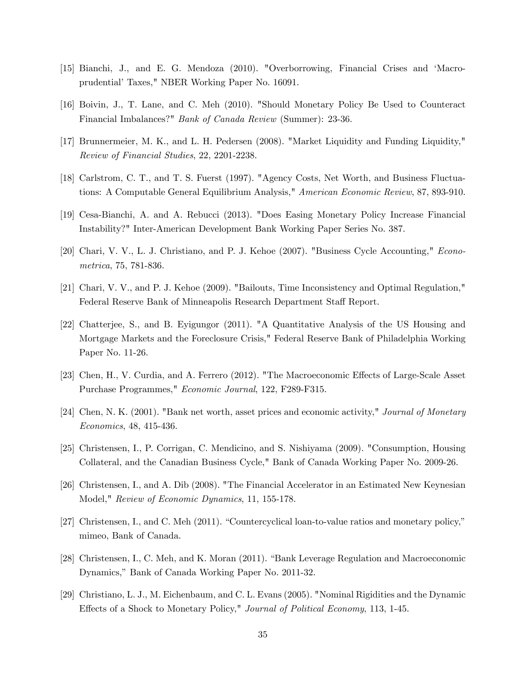- [15] Bianchi, J., and E. G. Mendoza (2010). "Overborrowing, Financial Crises and ëMacroprudential' Taxes," NBER Working Paper No. 16091.
- [16] Boivin, J., T. Lane, and C. Meh (2010). "Should Monetary Policy Be Used to Counteract Financial Imbalances?" Bank of Canada Review (Summer): 23-36.
- [17] Brunnermeier, M. K., and L. H. Pedersen (2008). "Market Liquidity and Funding Liquidity," Review of Financial Studies, 22, 2201-2238.
- [18] Carlstrom, C. T., and T. S. Fuerst (1997). "Agency Costs, Net Worth, and Business Fluctuations: A Computable General Equilibrium Analysis," American Economic Review, 87, 893-910.
- [19] Cesa-Bianchi, A. and A. Rebucci (2013). "Does Easing Monetary Policy Increase Financial Instability?" Inter-American Development Bank Working Paper Series No. 387.
- [20] Chari, V. V., L. J. Christiano, and P. J. Kehoe (2007). "Business Cycle Accounting," Econometrica, 75, 781-836.
- [21] Chari, V. V., and P. J. Kehoe (2009). "Bailouts, Time Inconsistency and Optimal Regulation," Federal Reserve Bank of Minneapolis Research Department Staff Report.
- [22] Chatterjee, S., and B. Eyigungor (2011). "A Quantitative Analysis of the US Housing and Mortgage Markets and the Foreclosure Crisis," Federal Reserve Bank of Philadelphia Working Paper No. 11-26.
- [23] Chen, H., V. Curdia, and A. Ferrero (2012). "The Macroeconomic Effects of Large-Scale Asset Purchase Programmes," Economic Journal, 122, F289-F315.
- [24] Chen, N. K. (2001). "Bank net worth, asset prices and economic activity," Journal of Monetary Economics, 48, 415-436.
- [25] Christensen, I., P. Corrigan, C. Mendicino, and S. Nishiyama (2009). "Consumption, Housing Collateral, and the Canadian Business Cycle," Bank of Canada Working Paper No. 2009-26.
- [26] Christensen, I., and A. Dib (2008). "The Financial Accelerator in an Estimated New Keynesian Model," Review of Economic Dynamics, 11, 155-178.
- [27] Christensen, I., and C. Meh  $(2011)$ . "Countercyclical loan-to-value ratios and monetary policy," mimeo, Bank of Canada.
- [28] Christensen, I., C. Meh, and K. Moran (2011). "Bank Leverage Regulation and Macroeconomic Dynamics," Bank of Canada Working Paper No. 2011-32.
- [29] Christiano, L. J., M. Eichenbaum, and C. L. Evans (2005). "Nominal Rigidities and the Dynamic Effects of a Shock to Monetary Policy," Journal of Political Economy, 113, 1-45.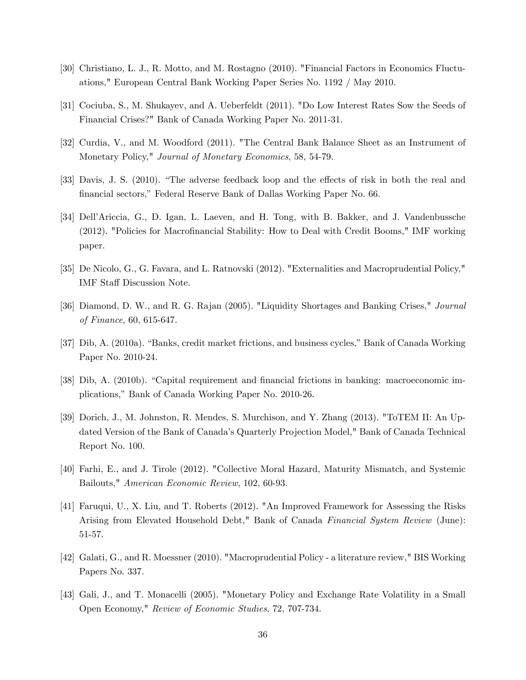- [30] Christiano, L. J., R. Motto, and M. Rostagno (2010). "Financial Factors in Economics Fluctuations," European Central Bank Working Paper Series No. 1192 / May 2010.
- [31] Cociuba, S., M. Shukayev, and A. Ueberfeldt (2011). "Do Low Interest Rates Sow the Seeds of Financial Crises?" Bank of Canada Working Paper No. 2011-31.
- [32] Curdia, V., and M. Woodford (2011). "The Central Bank Balance Sheet as an Instrument of Monetary Policy," Journal of Monetary Economics, 58, 54-79.
- [33] Davis, J. S. (2010). "The adverse feedback loop and the effects of risk in both the real and financial sectors," Federal Reserve Bank of Dallas Working Paper No. 66.
- [34] Dell'Ariccia, G., D. Igan, L. Laeven, and H. Tong, with B. Bakker, and J. Vandenbussche (2012). "Policies for Macrofinancial Stability: How to Deal with Credit Booms," IMF working paper.
- [35] De Nicolo, G., G. Favara, and L. Ratnovski (2012). "Externalities and Macroprudential Policy," IMF Staff Discussion Note.
- [36] Diamond, D. W., and R. G. Rajan (2005). "Liquidity Shortages and Banking Crises," Journal of Finance, 60, 615-647.
- [37] Dib, A. (2010a). "Banks, credit market frictions, and business cycles," Bank of Canada Working Paper No. 2010-24.
- [38] Dib, A. (2010b). "Capital requirement and financial frictions in banking: macroeconomic implications," Bank of Canada Working Paper No. 2010-26.
- [39] Dorich, J., M. Johnston, R. Mendes, S. Murchison, and Y. Zhang (2013). "ToTEM II: An Updated Version of the Bank of Canada's Quarterly Projection Model," Bank of Canada Technical Report No. 100.
- [40] Farhi, E., and J. Tirole (2012). "Collective Moral Hazard, Maturity Mismatch, and Systemic Bailouts," American Economic Review, 102, 60-93.
- [41] Faruqui, U., X. Liu, and T. Roberts (2012). "An Improved Framework for Assessing the Risks Arising from Elevated Household Debt," Bank of Canada Financial System Review (June): 51-57.
- [42] Galati, G., and R. Moessner (2010). "Macroprudential Policy a literature review," BIS Working Papers No. 337.
- [43] Gali, J., and T. Monacelli (2005). "Monetary Policy and Exchange Rate Volatility in a Small Open Economy," Review of Economic Studies, 72, 707-734.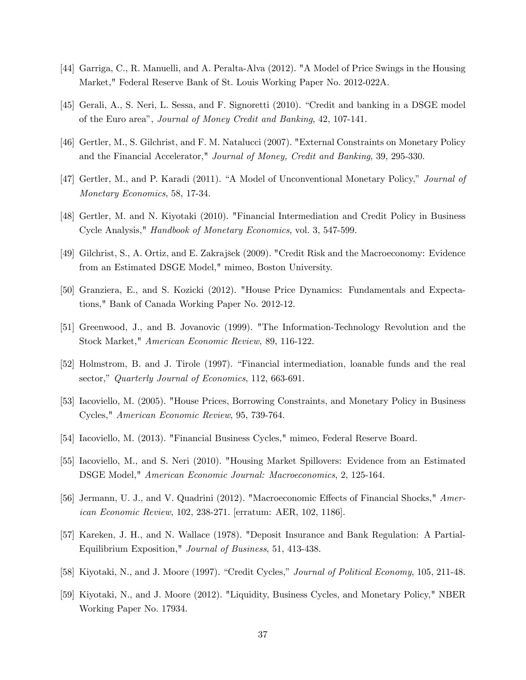- [44] Garriga, C., R. Manuelli, and A. Peralta-Alva (2012). "A Model of Price Swings in the Housing Market," Federal Reserve Bank of St. Louis Working Paper No. 2012-022A.
- [45] Gerali, A., S. Neri, L. Sessa, and F. Signoretti (2010). "Credit and banking in a DSGE model of the Euro areaî, Journal of Money Credit and Banking, 42, 107-141.
- [46] Gertler, M., S. Gilchrist, and F. M. Natalucci (2007). "External Constraints on Monetary Policy and the Financial Accelerator," Journal of Money, Credit and Banking, 39, 295-330.
- [47] Gertler, M., and P. Karadi (2011). "A Model of Unconventional Monetary Policy," Journal of Monetary Economics, 58, 17-34.
- [48] Gertler, M. and N. Kiyotaki (2010). "Financial Intermediation and Credit Policy in Business Cycle Analysis," Handbook of Monetary Economics, vol. 3, 547-599.
- [49] Gilchrist, S., A. Ortiz, and E. Zakrajöek (2009). "Credit Risk and the Macroeconomy: Evidence from an Estimated DSGE Model," mimeo, Boston University.
- [50] Granziera, E., and S. Kozicki (2012). "House Price Dynamics: Fundamentals and Expectations," Bank of Canada Working Paper No. 2012-12.
- [51] Greenwood, J., and B. Jovanovic (1999). "The Information-Technology Revolution and the Stock Market," American Economic Review, 89, 116-122.
- [52] Holmstrom, B. and J. Tirole (1997). "Financial intermediation, loanable funds and the real sector," Quarterly Journal of Economics, 112, 663-691.
- [53] Iacoviello, M. (2005). "House Prices, Borrowing Constraints, and Monetary Policy in Business Cycles," American Economic Review, 95, 739-764.
- [54] Iacoviello, M. (2013). "Financial Business Cycles," mimeo, Federal Reserve Board.
- [55] Iacoviello, M., and S. Neri (2010). "Housing Market Spillovers: Evidence from an Estimated DSGE Model," American Economic Journal: Macroeconomics, 2, 125-164.
- [56] Jermann, U. J., and V. Quadrini (2012). "Macroeconomic Effects of Financial Shocks," American Economic Review, 102, 238-271. [erratum: AER, 102, 1186].
- [57] Kareken, J. H., and N. Wallace (1978). "Deposit Insurance and Bank Regulation: A Partial-Equilibrium Exposition," Journal of Business, 51, 413-438.
- [58] Kiyotaki, N., and J. Moore (1997). "Credit Cycles," Journal of Political Economy, 105, 211-48.
- [59] Kiyotaki, N., and J. Moore (2012). "Liquidity, Business Cycles, and Monetary Policy," NBER Working Paper No. 17934.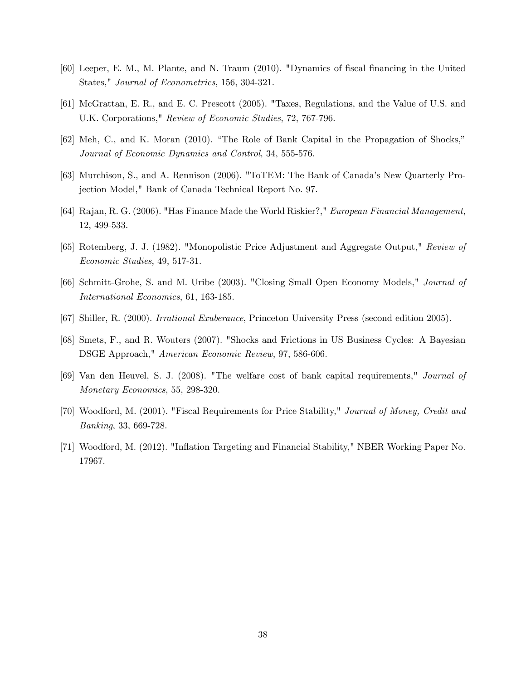- [60] Leeper, E. M., M. Plante, and N. Traum (2010). "Dynamics of fiscal financing in the United States," Journal of Econometrics, 156, 304-321.
- [61] McGrattan, E. R., and E. C. Prescott (2005). "Taxes, Regulations, and the Value of U.S. and U.K. Corporations," Review of Economic Studies, 72, 767-796.
- [62] Meh, C., and K. Moran (2010). "The Role of Bank Capital in the Propagation of Shocks," Journal of Economic Dynamics and Control, 34, 555-576.
- [63] Murchison, S., and A. Rennison (2006). "ToTEM: The Bank of Canada's New Quarterly Projection Model," Bank of Canada Technical Report No. 97.
- [64] Rajan, R. G. (2006). "Has Finance Made the World Riskier?," European Financial Management, 12, 499-533.
- [65] Rotemberg, J. J. (1982). "Monopolistic Price Adjustment and Aggregate Output," Review of Economic Studies, 49, 517-31.
- [66] Schmitt-Grohe, S. and M. Uribe (2003). "Closing Small Open Economy Models," Journal of International Economics, 61, 163-185.
- [67] Shiller, R. (2000). Irrational Exuberance, Princeton University Press (second edition 2005).
- [68] Smets, F., and R. Wouters (2007). "Shocks and Frictions in US Business Cycles: A Bayesian DSGE Approach," American Economic Review, 97, 586-606.
- [69] Van den Heuvel, S. J. (2008). "The welfare cost of bank capital requirements," Journal of Monetary Economics, 55, 298-320.
- [70] Woodford, M. (2001). "Fiscal Requirements for Price Stability," Journal of Money, Credit and Banking, 33, 669-728.
- [71] Woodford, M. (2012). "Ináation Targeting and Financial Stability," NBER Working Paper No. 17967.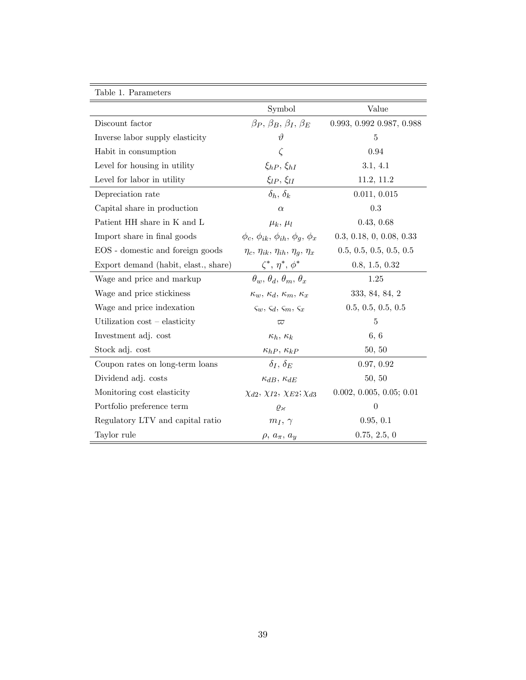| Table 1. Parameters                  |                                                            |                            |
|--------------------------------------|------------------------------------------------------------|----------------------------|
|                                      | Symbol                                                     | Value                      |
| Discount factor                      | $\beta_P$ , $\beta_B$ , $\beta_I$ , $\beta_F$              | 0.993, 0.992, 0.987, 0.988 |
| Inverse labor supply elasticity      | $\vartheta$                                                | 5                          |
| Habit in consumption                 | $\zeta$                                                    | 0.94                       |
| Level for housing in utility         | $\xi_{hP}, \xi_{hI}$                                       | 3.1, 4.1                   |
| Level for labor in utility           | $\xi_{lP}$ , $\xi_{lI}$                                    | 11.2, 11.2                 |
| Depreciation rate                    | $\delta_h, \, \delta_k$                                    | 0.011, 0.015               |
| Capital share in production          | $\alpha$                                                   | 0.3                        |
| Patient HH share in K and L          | $\mu_k, \mu_l$                                             | 0.43, 0.68                 |
| Import share in final goods          | $\phi_c$ , $\phi_{ik}$ , $\phi_{ih}$ , $\phi_a$ , $\phi_x$ | 0.3, 0.18, 0, 0.08, 0.33   |
| EOS - domestic and foreign goods     | $\eta_c$ , $\eta_{ik}$ , $\eta_{ih}$ , $\eta_g$ , $\eta_x$ | 0.5, 0.5, 0.5, 0.5, 0.5    |
| Export demand (habit, elast., share) | $\zeta^*, \eta^*, \phi^*$                                  | 0.8, 1.5, 0.32             |
| Wage and price and markup            | $\theta_w$ , $\theta_d$ , $\theta_m$ , $\theta_x$          | 1.25                       |
| Wage and price stickiness            | $\kappa_w, \kappa_d, \kappa_m, \kappa_x$                   | 333, 84, 84, 2             |
| Wage and price indexation            | $\zeta_w$ , $\zeta_d$ , $\zeta_m$ , $\zeta_x$              | 0.5, 0.5, 0.5, 0.5         |
| Utilization $\cos t$ – elasticity    | $\varpi$                                                   | 5                          |
| Investment adj. cost                 | $\kappa_h, \, \kappa_k$                                    | 6, 6                       |
| Stock adj. cost                      | $\kappa_{hP},\,\kappa_{kP}$                                | 50, 50                     |
| Coupon rates on long-term loans      | $\delta_I$ , $\delta_E$                                    | 0.97, 0.92                 |
| Dividend adj. costs                  | $\kappa_{dB}, \kappa_{dE}$                                 | 50, 50                     |
| Monitoring cost elasticity           | $\chi_{d2}, \chi_{I2}, \chi_{E2}; \chi_{d3}$               | 0.002, 0.005, 0.05; 0.01   |
| Portfolio preference term            | $\varrho_{\varkappa}$                                      | $\theta$                   |
| Regulatory LTV and capital ratio     | $m_I, \gamma$                                              | 0.95, 0.1                  |
| Taylor rule                          | $\rho, a_{\pi}, a_{\eta}$                                  | 0.75, 2.5, 0               |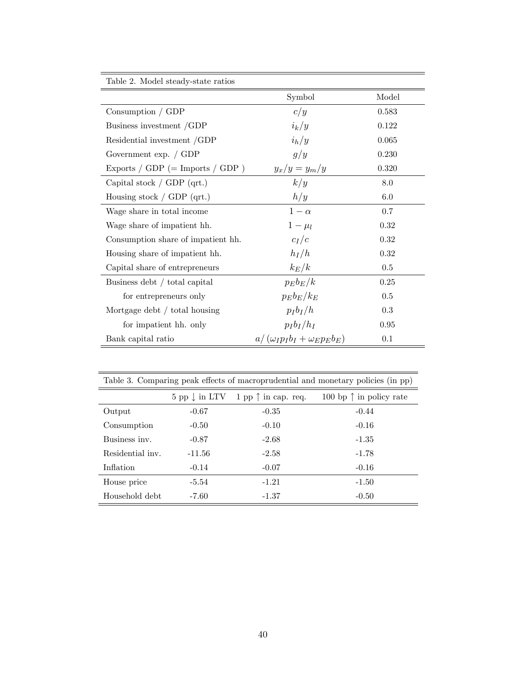| Table 2. Model steady-state ratios   |                                           |         |
|--------------------------------------|-------------------------------------------|---------|
|                                      | Symbol                                    | Model   |
| Consumption / GDP                    | c/y                                       | 0.583   |
| Business investment /GDP             | $i_k/y$                                   | 0.122   |
| Residential investment /GDP          | $i_h/y$                                   | 0.065   |
| Government exp. $\int$ GDP           | g/y                                       | 0.230   |
| Exports / $GDP$ (= Imports / $GDP$ ) | $y_x/y = y_m/y$                           | 0.320   |
| Capital stock $/$ GDP (qrt.)         | k/y                                       | 8.0     |
| Housing stock $\int$ GDP (qrt.)      | h/y                                       | 6.0     |
| Wage share in total income           | $1-\alpha$                                | 0.7     |
| Wage share of impatient hh.          | $1-\mu_l$                                 | 0.32    |
| Consumption share of impatient hh.   | $c_I/c$                                   | 0.32    |
| Housing share of impatient hh.       | $h_I/h$                                   | 0.32    |
| Capital share of entrepreneurs       | $k_E/k$                                   | $0.5\,$ |
| Business debt / total capital        | $p_Eb_E/k$                                | 0.25    |
| for entrepreneurs only               | $p_E b_E/k_E$                             | 0.5     |
| Mortgage debt / total housing        | $p_Ib_I/h$                                | 0.3     |
| for impatient hh. only               | $p_Ib_I/h_I$                              | 0.95    |
| Bank capital ratio                   | $a/(\omega_I p_I b_I + \omega_E p_E b_E)$ | 0.1     |

| Table 3. Comparing peak effects of macroprudential and monetary policies (in pp) |          |                                                           |                                  |  |  |
|----------------------------------------------------------------------------------|----------|-----------------------------------------------------------|----------------------------------|--|--|
|                                                                                  |          | $5$ pp $\downarrow$ in LTV $1$ pp $\uparrow$ in cap. req. | 100 bp $\uparrow$ in policy rate |  |  |
| Output                                                                           | $-0.67$  | $-0.35$                                                   | $-0.44$                          |  |  |
| Consumption                                                                      | $-0.50$  | $-0.10$                                                   | $-0.16$                          |  |  |
| Business inv.                                                                    | $-0.87$  | $-2.68$                                                   | $-1.35$                          |  |  |
| Residential inv.                                                                 | $-11.56$ | $-2.58$                                                   | $-1.78$                          |  |  |
| Inflation                                                                        | $-0.14$  | $-0.07$                                                   | $-0.16$                          |  |  |
| House price                                                                      | $-5.54$  | $-1.21$                                                   | $-1.50$                          |  |  |
| Household debt                                                                   | $-7.60$  | $-1.37$                                                   | $-0.50$                          |  |  |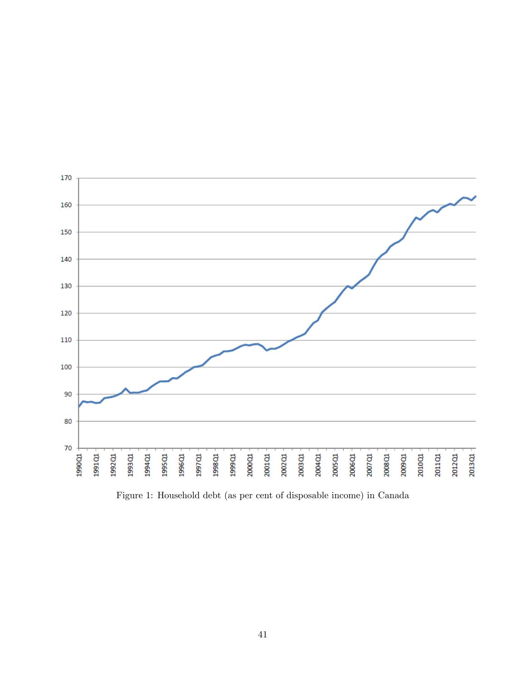

Figure 1: Household debt (as per cent of disposable income) in Canada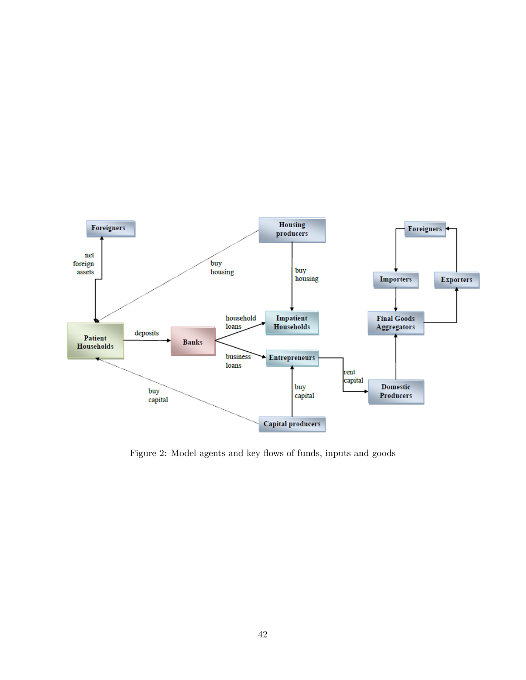

Figure 2: Model agents and key flows of funds, inputs and goods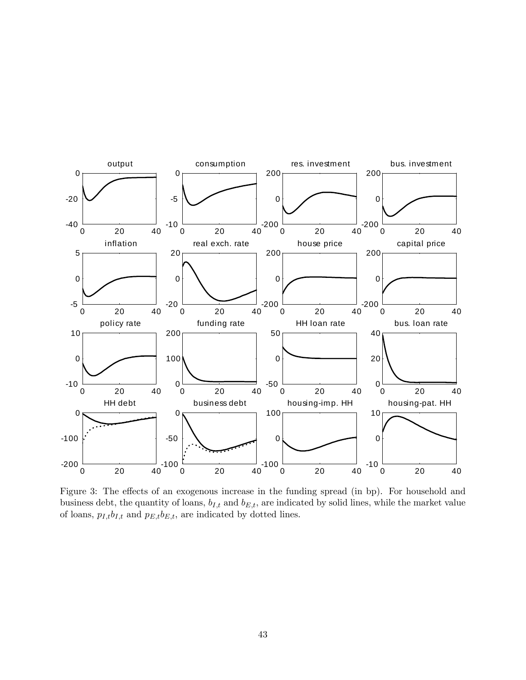

Figure 3: The effects of an exogenous increase in the funding spread (in bp). For household and business debt, the quantity of loans,  $b_{I,t}$  and  $b_{E,t}$ , are indicated by solid lines, while the market value of loans,  $p_{I,t}b_{I,t}$  and  $p_{E,t}b_{E,t},$  are indicated by dotted lines.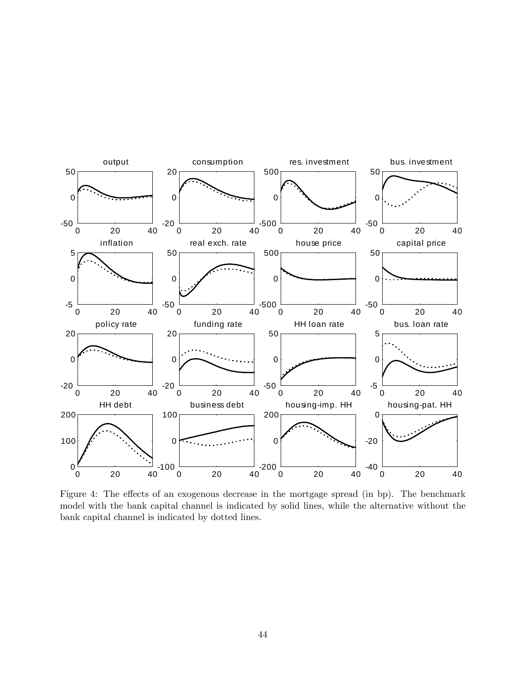

Figure 4: The effects of an exogenous decrease in the mortgage spread (in bp). The benchmark model with the bank capital channel is indicated by solid lines, while the alternative without the bank capital channel is indicated by dotted lines.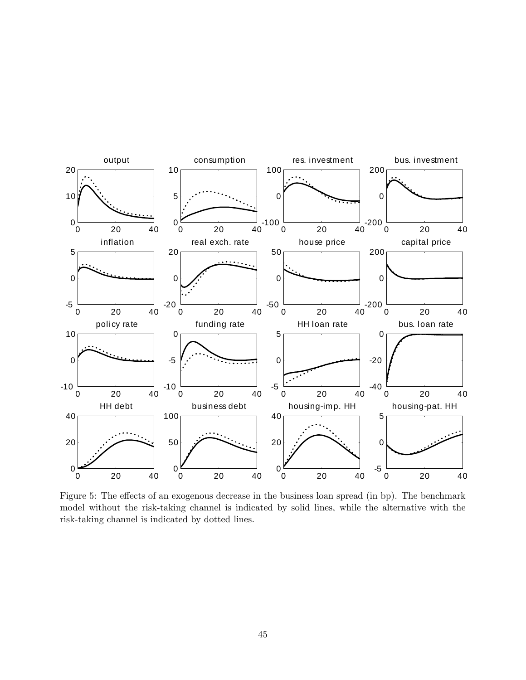

Figure 5: The effects of an exogenous decrease in the business loan spread (in bp). The benchmark model without the risk-taking channel is indicated by solid lines, while the alternative with the risk-taking channel is indicated by dotted lines.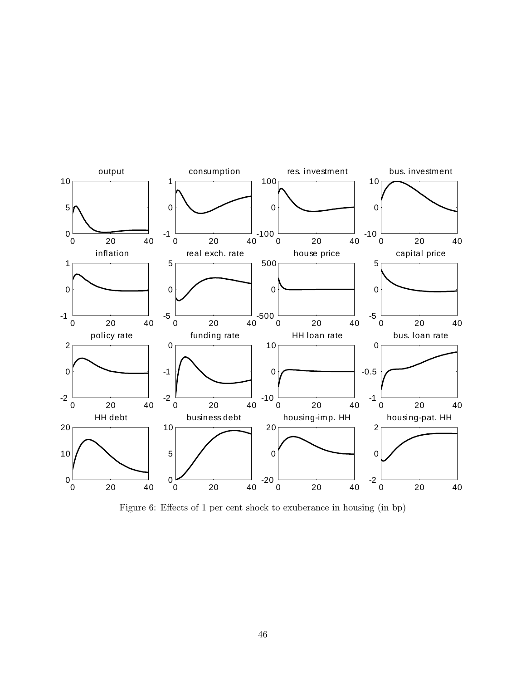

Figure 6: Effects of 1 per cent shock to exuberance in housing (in bp)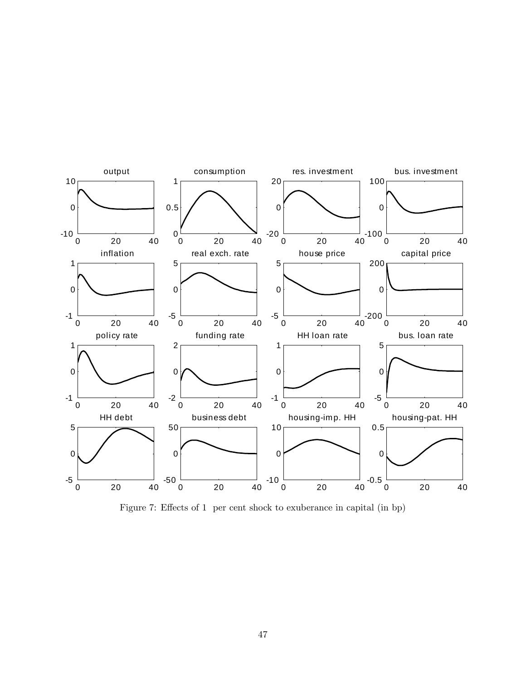

Figure 7: Effects of 1 per cent shock to exuberance in capital (in bp)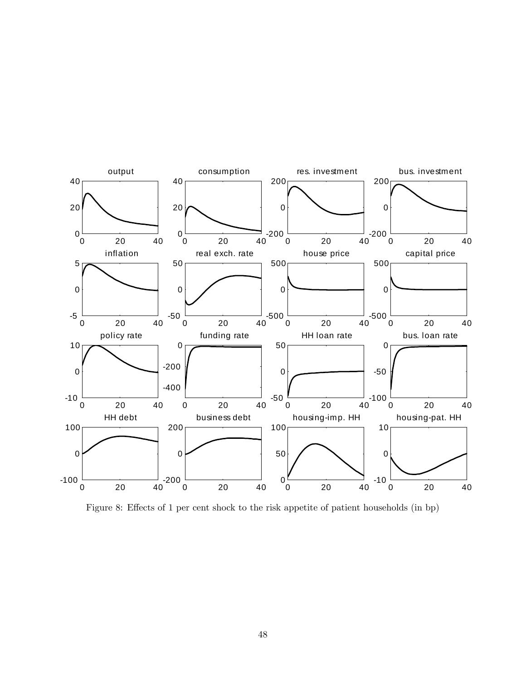

Figure 8: Effects of 1 per cent shock to the risk appetite of patient households (in bp)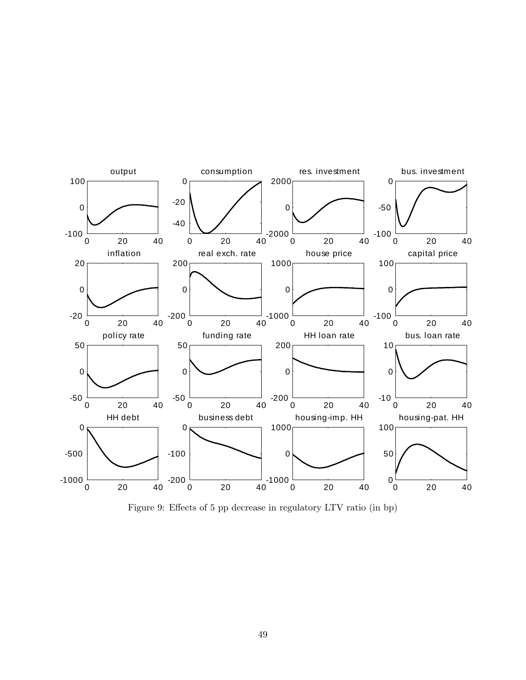

Figure 9: Effects of 5 pp decrease in regulatory LTV ratio (in bp)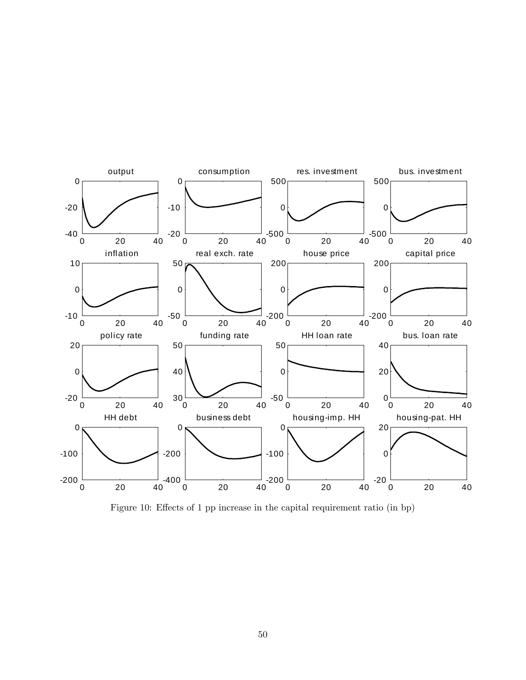

Figure 10: Effects of 1 pp increase in the capital requirement ratio (in bp)